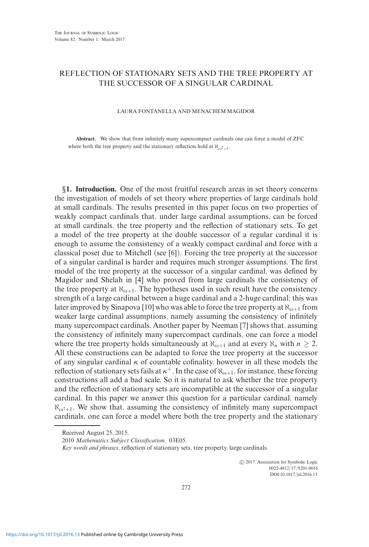## REFLECTION OF STATIONARY SETS AND THE TREE PROPERTY AT THE SUCCESSOR OF A SINGULAR CARDINAL

## LAURA FONTANELLA AND MENACHEM MAGIDOR

**Abstract.** We show that from infinitely many supercompact cardinals one can force a model of ZFC where both the tree property and the stationary reflection hold at  $\aleph_{\omega^2+1}$ .

*§***1. Introduction.** One of the most fruitful research areas in set theory concerns the investigation of models of set theory where properties of large cardinals hold at small cardinals. The results presented in this paper focus on two properties of weakly compact cardinals that, under large cardinal assumptions, can be forced at small cardinals, the tree property and the reflection of stationary sets. To get a model of the tree property at the double successor of a regular cardinal it is enough to assume the consistency of a weakly compact cardinal and force with a classical poset due to Mitchell (see [6]). Forcing the tree property at the successor of a singular cardinal is harder and requires much stronger assumptions. The first model of the tree property at the successor of a singular cardinal, was defined by Magidor and Shelah in [4] who proved from large cardinals the consistency of the tree property at  $\aleph_{\omega+1}$ . The hypotheses used in such result have the consistency strength of a large cardinal between a huge cardinal and a 2-huge cardinal; this was later improved by Sinapova [10] who was able to force the tree property at  $\aleph_{\omega+1}$  from weaker large cardinal assumptions, namely assuming the consistency of infinitely many supercompact cardinals. Another paper by Neeman [7] shows that, assuming the consistency of infinitely many supercompact cardinals, one can force a model where the tree property holds simultaneously at  $\aleph_{\omega+1}$  and at every  $\aleph_n$  with  $n \geq 2$ . All these constructions can be adapted to force the tree property at the successor of any singular cardinal *κ* of countable cofinality, however in all these models the reflection of stationary sets fails at  $\kappa^+$ . In the case of  $\aleph_{\omega+1}$ , for instance, these forcing constructions all add a bad scale. So it is natural to ask whether the tree property and the reflection of stationary sets are incompatible at the successor of a singular cardinal. In this paper we answer this question for a particular cardinal, namely  $\aleph_{\omega^2+1}$ . We show that, assuming the consistency of infinitely many supercompact cardinals, one can force a model where both the tree property and the stationary

 $\odot$  2017, Association for Symbolic Logic 0022-4812/17/8201-0016 DOI:10.1017/jsl.2016.13

Received August 25, 2015.

<sup>2010</sup> *Mathematics Subject Classification.* 03E05.

*Key words and phrases*. reflection of stationary sets, tree property, large cardinals.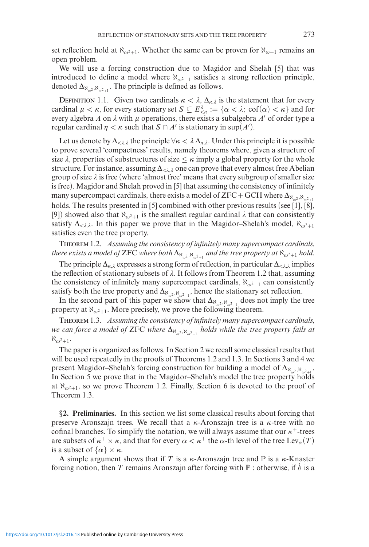set reflection hold at  $\aleph_{\omega^2+1}$ . Whether the same can be proven for  $\aleph_{\omega+1}$  remains an open problem.

We will use a forcing construction due to Magidor and Shelah [5] that was introduced to define a model where  $\aleph_{\omega^2+1}$  satisfies a strong reflection principle, denoted  $\Delta_{\aleph_{\omega^2},\aleph_{\omega^2+1}}$ . The principle is defined as follows.

DEFINITION 1.1. Given two cardinals  $\kappa < \lambda$ ,  $\Delta_{\kappa,\lambda}$  is the statement that for every cardinal  $\mu < \kappa$ , for every stationary set  $S \subseteq E_{\leq \kappa}^{\lambda} := {\alpha < \lambda; \operatorname{cof}(\alpha) < \kappa}$  and for every algebra A on  $\lambda$  with  $\mu$  operations, there exists a subalgebra  $A'$  of order type a regular cardinal  $\eta < \kappa$  such that  $S \cap A'$  is stationary in sup( $A'$ ).

Let us denote by  $\Delta_{\leq \lambda,\lambda}$  the principle  $\forall \kappa < \lambda \Delta_{\kappa,\lambda}$ . Under this principle it is possible to prove several 'compactness' results, namely theorems where, given a structure of size  $\lambda$ , properties of substructures of size  $\leq \kappa$  imply a global property for the whole structure. For instance, assuming  $\Delta_{\leq \lambda,\lambda}$  one can prove that every almost free Abelian group of size  $\lambda$  is free (where 'almost free' means that every subgroup of smaller size is free). Magidor and Shelah proved in [5] that assuming the consistency of infinitely many supercompact cardinals, there exists a model of  $ZFC+GCH$  where  $\Delta_{\aleph_{\omega^2},\aleph_{\omega^2+1}}$ holds. The results presented in [5] combined with other previous results (see [1], [8], [9]) showed also that  $\aleph_{\omega^2+1}$  is the smallest regular cardinal  $\lambda$  that can consistently satisfy  $\Delta_{\langle \lambda, \lambda \rangle}$ . In this paper we prove that in the Magidor–Shelah's model,  $\aleph_{\omega^2+1}$ satisfies even the tree property.

Theorem 1.2. *Assuming the consistency of infinitely many supercompact cardinals,*  $t$ here exists a model of  ${\rm ZFC}$  where both  $\Delta_{\aleph_{\omega^2},\aleph_{\omega^2+1}}$  and the tree property at  $\aleph_{\omega^2+1}$  hold.

The principle  $\Delta_{\kappa,\lambda}$  expresses a strong form of reflection, in particular  $\Delta_{\leq \lambda,\lambda}$  implies the reflection of stationary subsets of  $\lambda$ . It follows from Theorem 1.2 that, assuming the consistency of infinitely many supercompact cardinals,  $\aleph_{\omega^2+1}$  can consistently satisfy both the tree property and  $\Delta_{\aleph_{\omega^2}, \aleph_{\omega^2+1}}$ , hence the stationary set reflection.

In the second part of this paper we show that  $\Delta_{N_{\omega^2}, N_{\omega^2+1}}$  does not imply the tree property at  $\aleph_{\omega^2+1}$ . More precisely, we prove the following theorem.

Theorem 1.3. *Assuming the consistency of infinitely many supercompact cardinals, we can force a model of* ZFC *where* Δ<sup>ℵ</sup>*-*<sup>2</sup> *,*ℵ*-*2+1 *holds while the tree property fails at*  $\aleph_{\omega^2+1}$ .

The paper is organized as follows. In Section 2 we recall some classical results that will be used repeatedly in the proofs of Theorems 1.2 and 1.3. In Sections 3 and 4 we present Magidor–Shelah's forcing construction for building a model of  $\Delta_{\aleph_{\omega^2},\aleph_{\omega^2+1}}$ . In Section 5 we prove that in the Magidor–Shelah's model the tree property holds at  $\aleph_{\omega^2+1}$ , so we prove Theorem 1.2. Finally, Section 6 is devoted to the proof of Theorem 1.3.

*§***2. Preliminaries.** In this section we list some classical results about forcing that preserve Aronszajn trees. We recall that a *κ*-Aronszajn tree is a *κ*-tree with no cofinal branches. To simplify the notation, we will always assume that our  $\kappa^+$ -trees are subsets of  $\kappa^+ \times \kappa$ , and that for every  $\alpha < \kappa^+$  the  $\alpha$ -th level of the tree Lev<sub> $\alpha$ </sub> $(T)$ is a subset of  $\{\alpha\} \times \kappa$ .

A simple argument shows that if *T* is a  $\kappa$ -Aronszajn tree and  $\mathbb P$  is a  $\kappa$ -Knaster forcing notion, then *T* remains Aronszajn after forcing with  $\mathbb{P}$  : otherwise, if  $\dot{b}$  is a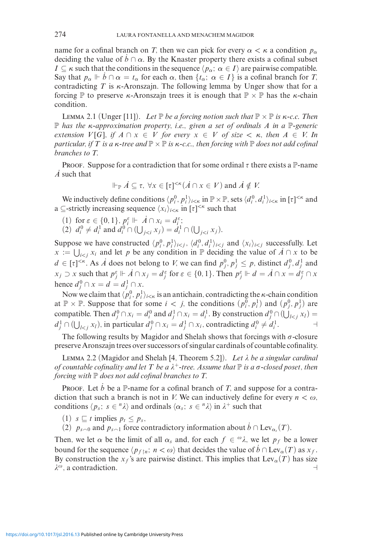name for a cofinal branch on *T*, then we can pick for every  $\alpha < \kappa$  a condition  $p_{\alpha}$ deciding the value of  $\dot{b} \cap \alpha$ . By the Knaster property there exists a cofinal subset *I*  $\subseteq$  *κ* such that the conditions in the sequence  $\langle p_\alpha : \alpha \in I \rangle$  are pairwise compatible. Say that  $p_{\alpha} \Vdash \dot{b} \cap \alpha = t_{\alpha}$  for each  $\alpha$ , then  $\{t_{\alpha}; \alpha \in I\}$  is a cofinal branch for *T*, contradicting  $T$  is  $\kappa$ -Aronszajn. The following lemma by Unger show that for a forcing  $\mathbb P$  to preserve *κ*-Aronszajn trees it is enough that  $\mathbb P \times \mathbb P$  has the *κ*-chain condition.

LEMMA 2.1 (Unger [11]). *Let*  $\mathbb P$  *be a forcing notion such that*  $\mathbb P \times \mathbb P$  *is*  $\kappa$ -*c.c. Then* P *has the κ-approximation property, i.e., given a set of ordinals A in a* P*-generic extension*  $V[G]$ *, if*  $A \cap x \in V$  *for every*  $x \in V$  *of size*  $\lt \kappa$ *, then*  $A \in V$ *. In particular, if T is a*  $\kappa$ -tree and  $\mathbb{P} \times \mathbb{P}$  *is*  $\kappa$ -c.c., then forcing with  $\mathbb{P}$  does not add cofinal *branches to T.*

**PROOF.** Suppose for a contradiction that for some ordinal  $\tau$  there exists a P-name *A*˙ such that

$$
\Vdash_{\mathbb{P}} \dot{A} \subseteq \tau, \ \forall x \in [\tau]^{<\kappa} (\dot{A} \cap x \in V) \text{ and } \dot{A} \notin V.
$$

We inductively define conditions  $\langle p_i^0, p_i^1 \rangle_{i \le \kappa}$  in  $\mathbb{P} \times \mathbb{P}$ , sets  $\langle d_i^0, d_i^1 \rangle_{i \le \kappa}$  in  $[\tau]^{<\kappa}$  and a  $\subseteq$ -strictly increasing sequence  $\langle x_i \rangle_{i \leq \kappa}$  in  $[\tau]^{<\kappa}$  such that

- (1) for  $\varepsilon \in \{0,1\}$ ,  $p_i^{\varepsilon} \Vdash \dot{A} \cap x_i = d_i^{\varepsilon}$ ;
- (2)  $d_i^0 \neq d_i^1$  and  $d_i^0 \cap (\bigcup_{j < i} x_j) = d_i^1 \cap (\bigcup_{j < i} x_j)$ .

Suppose we have constructed  $\langle p_i^0, p_i^1 \rangle_{i \le j}$ ,  $\langle d_i^0, d_i^1 \rangle_{i \le j}$  and  $\langle x_i \rangle_{i \le j}$  successfully. Let  $x := \bigcup_{i < j} x_i$  and let *p* be any condition in P deciding the value of  $\overline{A} \cap x$  to be  $d \in [\tau]^{<\kappa}$ . As *Å* does not belong to *V*, we can find  $p_j^0, p_j^1 \leq p$ , distinct  $d_j^0, d_j^1$  and  $x_j \supset x$  such that  $p_j^{\varepsilon} \Vdash \dot{A} \cap x_j = d_j^{\varepsilon}$  for  $\varepsilon \in \{0, 1\}$ . Then  $p_j^{\varepsilon} \Vdash d = \dot{A} \cap x = d_j^{\varepsilon} \cap x$ hence  $d_j^0$  ∩  $x = d = d_j^1$  ∩  $x$ .

Now we claim that  $\langle p_i^0, p_i^1 \rangle_{i \leq \kappa}$  is an antichain, contradicting the  $\kappa$ -chain condition at  $\mathbb{P} \times \mathbb{P}$ . Suppose that for some  $i < j$ , the conditions  $(p_i^0, p_i^1)$  and  $(p_j^0, p_j^1)$  are compatible. Then  $d_j^0 \cap x_i = d_i^0$  and  $d_j^1 \cap x_i = d_i^1$ . By construction  $d_j^0 \cap (\bigcup_{l < j} x_l) =$  $d_j^1 \cap (\bigcup_{l < j} x_l)$ , in particular  $d_j^0 \cap x_i = d_j^1 \cap x_i$ , contradicting  $d_i^0 \neq d_i^1$ .

The following results by Magidor and Shelah shows that forcings with  $\sigma$ -closure preserve Aronszajn trees over successors of singular cardinals of countable cofinality.

Lemma 2.2 (Magidor and Shelah [4, Theorem 5.2]). *Let be a singular cardinal of countable cofinality and let*  $T$  *be a*  $\lambda^+$ -tree. Assume that  $\mathbb P$  *is a*  $\sigma$ -closed poset, then *forcing with*  $\mathbb P$  *does not add cofinal branches to T*.

PROOF. Let  $\dot{b}$  be a P-name for a cofinal branch of *T*, and suppose for a contradiction that such a branch is not in *V*. We can inductively define for every  $n < \omega$ , conditions  $\langle p_s; s \in \infty \rangle$  and ordinals  $\langle \alpha_s; s \in \infty \rangle$  in  $\lambda^+$  such that

- (1)  $s \sqsubset t$  implies  $p_t \leq p_s$ ,
- (2)  $p_{s \cap 0}$  and  $p_{s \cap 1}$  force contradictory information about  $\dot{b} \cap \text{Lev}_{\alpha_s}(T)$ .

Then, we let  $\alpha$  be the limit of all  $\alpha_s$  and, for each  $f \in \mathcal{A}$ , we let  $p_f$  be a lower bound for the sequence  $\langle p_{f|n}$ ;  $n < \omega \rangle$  that decides the value of  $\dot{b} \cap \text{Lev}_{\alpha}(T)$  as  $x_f$ . By construction the *x<sub>f</sub>*'s are pairwise distinct. This implies that  $Lev_\alpha(T)$  has size  $\lambda^{\omega}$ , a contradiction.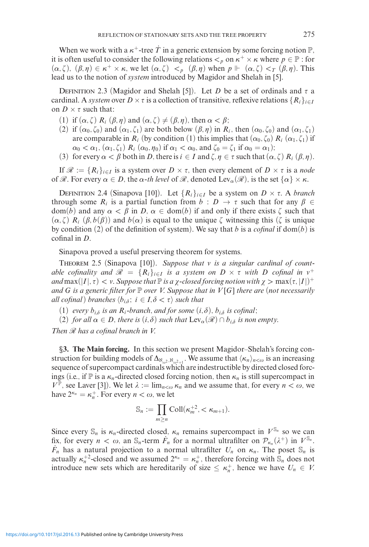When we work with a  $\kappa^+$ -tree  $\dot{T}$  in a generic extension by some forcing notion  $\mathbb{P}$ , it is often useful to consider the following relations  $\lt_p$  on  $\kappa^+ \times \kappa$  where  $p \in \mathbb{P}$  : for  $(\alpha, \zeta)$ ,  $(\beta, \eta) \in \kappa^+ \times \kappa$ , we let  $(\alpha, \zeta) <sub>p</sub>$   $(\beta, \eta)$  when  $p \Vdash (\alpha, \zeta) <sub>T</sub> (\beta, \eta)$ . This lead us to the notion of *system* introduced by Magidor and Shelah in [5].

DEFINITION 2.3 (Magidor and Shelah [5]). Let *D* be a set of ordinals and  $\tau$  a cardinal. A *system* over  $D \times \tau$  is a collection of transitive, reflexive relations  $\{R_i\}_{i \in I}$ on  $D \times \tau$  such that:

- (1) if  $(\alpha, \zeta)$   $R_i$   $(\beta, \eta)$  and  $(\alpha, \zeta) \neq (\beta, \eta)$ , then  $\alpha < \beta$ ;
- (2) if  $(\alpha_0, \zeta_0)$  and  $(\alpha_1, \zeta_1)$  are both below  $(\beta, \eta)$  in  $R_i$ , then  $(\alpha_0, \zeta_0)$  and  $(\alpha_1, \zeta_1)$ are comparable in  $R_i$  (by condition (1) this implies that  $(\alpha_0, \zeta_0) R_i (\alpha_1, \zeta_1)$  if  $\alpha_0 < \alpha_1$ ,  $(\alpha_1, \zeta_1)$  *R<sub>i</sub>*  $(\alpha_0, \eta_0)$  if  $\alpha_1 < \alpha_0$ , and  $\zeta_0 = \zeta_1$  if  $\alpha_0 = \alpha_1$ );
- (3) for every  $\alpha < \beta$  both in *D*, there is  $i \in I$  and  $\zeta, \eta \in \tau$  such that  $(\alpha, \zeta) R_i (\beta, \eta)$ .

If  $\mathcal{R} := \{R_i\}_{i \in I}$  is a system over  $D \times \tau$ , then every element of  $D \times \tau$  is a *node* of  $\mathscr{R}$ *.* For every  $\alpha \in D$ , the  $\alpha$ -th level of  $\mathscr{R}$ , denoted Lev $_{\alpha}(\mathscr{R})$ , is the set  $\{\alpha\} \times \kappa$ *.* 

DEFINITION 2.4 (Sinapova [10]). Let  ${R_i}_{i \in I}$  be a system on  $D \times \tau$ . A *branch* through some  $R_i$  is a partial function from  $b : D \to \tau$  such that for any  $\beta \in$  $dom(b)$  and any  $\alpha < \beta$  in *D*,  $\alpha \in dom(b)$  if and only if there exists  $\zeta$  such that  $(\alpha, \zeta)$   $R_i$   $(\beta, b(\beta))$  and  $b(\alpha)$  is equal to the unique  $\zeta$  witnessing this  $(\zeta)$  is unique by condition (2) of the definition of system). We say that *b* is a *cofinal* if dom(*b*) is cofinal in *D.*

Sinapova proved a useful preserving theorem for systems.

Theorem 2.5 (Sinapova [10]). *Suppose that is a singular cardinal of countable cofinality and*  $\mathcal{R} = \{R_i\}_{i \in I}$  *is a system on*  $D \times \tau$  *with*  $D$  *cofinal in*  $v^+$ *and*  $\max(|I|, \tau) < \nu$ . Suppose that  $\mathbb P$  *is a*  $\chi$ -closed forcing notion with  $\chi > \max(\tau, |I|)^+$ *and G is a generic filter for* P *over V. Suppose that in V* [*G*] *there are (not necessarily all cofinal* ) *branches*  $\langle b_{i,\delta} : i \in I, \delta < \tau \rangle$  *such that* 

- (1) *every*  $b_{i\delta}$  *is an*  $R_i$ -branch, and for some  $(i, \delta)$ ,  $b_{i\delta}$  *is cofinal*;
- (2) *for all*  $\alpha \in D$ , *there is*  $(i, \delta)$  *such that*  $Lev_{\alpha}(\mathscr{R}) \cap b_{i\delta}$  *is non empty.*

*Then R has a cofinal branch in V.*

*§***3. The Main forcing.** In this section we present Magidor–Shelah's forcing construction for building models of  $\Delta_{N_{\omega^2}, N_{\omega^2+1}}$ . We assume that  $\langle \kappa_n \rangle_{n<\omega}$  is an increasing sequence of supercompact cardinals which are indestructible by directed closed forcings (i.e., if  $\mathbb P$  is a  $\kappa_n$ -directed closed forcing notion, then  $\kappa_n$  is still supercompact in  $V^{\mathbb{P}}$ , see Laver [3]). We let  $\lambda := \lim_{n \leq \omega} \kappa_n$  and we assume that, for every  $n < \omega$ , we have  $2^{\kappa_n} = \kappa_n^+$ . For every  $n < \omega$ , we let

$$
\mathbb{S}_n := \prod_{m \ge n} \text{Coll}(\kappa_m^{+2}, < \kappa_{m+1}).
$$

Since every  $\mathbb{S}_n$  is  $\kappa_n$ -directed closed,  $\kappa_n$  remains supercompact in  $V^{\mathbb{S}_n}$  so we can fix, for every  $n < \omega$ , an  $\mathbb{S}_n$ -term  $\dot{F}_n$  for a normal ultrafilter on  $\mathcal{P}_{\kappa_n}(\lambda^+)$  in  $V^{\mathbb{S}_n}$ .  $\hat{F}_n$  has a natural projection to a normal ultrafilter  $U_n$  on  $\kappa_n$ . The poset  $\mathbb{S}_n$  is actually  $\kappa_n^{+2}$ -closed and we assumed  $2^{\kappa_n} = \kappa_n^+$ , therefore forcing with  $\mathbb{S}_n$  does not introduce new sets which are hereditarily of size  $\leq \kappa_n^+$ , hence we have  $U_n \in V$ .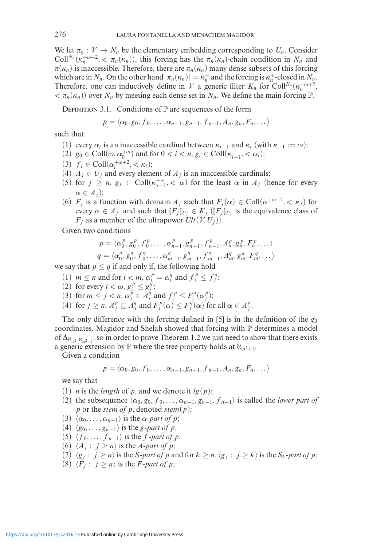We let  $\pi_n: V \to N_n$  be the elementary embedding corresponding to  $U_n$ . Consider Coll<sup>N<sub>n</sub></sup>( $\kappa_n^{+\omega+2}$ ,  $\lt \pi_n(\kappa_n)$ ), this forcing has the  $\pi_n(\kappa_n)$ -chain condition in  $N_n$  and  $\pi(\kappa_n)$  is inaccessible. Therefore, there are  $\pi_n(\kappa_n)$  many dense subsets of this forcing which are in *N<sub>n</sub>*. On the other hand  $|\pi_n(\kappa_n)| = \kappa_n^+$  and the forcing is  $\kappa_n^+$ -closed in  $N_n$ . Therefore, one can inductively define in *V* a generic filter  $K_n$  for Coll<sup>N<sub>n</sub></sup>( $\kappa_n^{+\omega+2}$ ,  $\langle n_n(\kappa_n) \rangle$  over  $N_n$  by meeting each dense set in  $N_n$ . We define the main forcing P.

DEFINITION 3.1. Conditions of  $\mathbb P$  are sequences of the form

$$
p = \langle \alpha_0, g_0, f_0, \ldots, \alpha_{n-1}, g_{n-1}, f_{n-1}, A_n, g_n, F_n, \ldots \rangle
$$

such that:

- (1) every  $\alpha_i$  is an inaccessible cardinal between  $\kappa_{i-1}$  and  $\kappa_i$  (with  $\kappa_{-1} := \omega$ );
- (2) *g*<sub>0</sub> ∈ Coll( $ω, α_0^{+ω}$ ) and for 0 < *i* < *n*, *g<sub>i</sub>* ∈ Coll( $κ_{i-1}^{++}$ , <  $α_i$ );
- (3)  $f_i \in \text{Coll}(\alpha_i^{+\omega+2}, \langle \kappa_i \rangle;$
- (4)  $A_j \in U_j$  and every element of  $A_j$  is an inaccessible cardinals;
- (5) for  $j \ge n$ ,  $g_j \in \text{Coll}(\kappa_{j-1}^{++}, < \alpha)$  for the least  $\alpha$  in  $A_j$  (hence for every  $\alpha \in A_i$ ;
- (6)  $F_j$  is a function with domain  $A_j$  such that  $F_j(\alpha) \in \text{Coll}(\alpha^{+\omega+2}, <\kappa_j)$  for every  $\alpha \in A_j$ , and such that  $[F_j]_{U_j} \in K_j$  ( $[F_j]_{U_j}$  is the equivalence class of  $F_i$  as a member of the ultrapower  $Ult(V, U_i))$ .

Given two conditions

$$
p = \langle \alpha_0^p, g_0^p, f_0^p, \dots, \alpha_{n-1}^p, g_{n-1}^p, f_{n-1}^p, A_n^p, g_n^p, F_n^p, \dots \rangle
$$
  

$$
q = \langle \alpha_0^q, g_0^q, f_0^q, \dots, \alpha_{m-1}^q, g_{m-1}^q, f_{m-1}^q, A_m^q, g_m^q, F_m^q, \dots \rangle
$$

we say that  $p \leq q$  if and only if, the following hold

- (1)  $m \le n$  and for  $i < m$ ,  $\alpha_i^p = \alpha_i^q$  and  $f_i^p \le f_i^q$ ;
- (2) for every  $i < \omega, g_i^p \leq g_i^{\dot{q}}$ ;
- (3) for  $m \le j < n$ ,  $\alpha_j^{\dot{p}} \in \overline{A}_i^{\dot{q}}$  and  $f_i^p \le F_i^q(\alpha_j^p)$ ;
- (4) for  $j \ge n$ ,  $A_j^p \subseteq A_j^q$  and  $F_j^p(\alpha) \le F_j^q(\alpha)$  for all  $\alpha \in A_j^p$ .

The only difference with the forcing defined in [5] is in the definition of the  $g_0$ coordinates. Magidor and Shelah showed that forcing with  $\mathbb P$  determines a model of  $\Delta_{\aleph_{\omega^2},\aleph_{\omega^2+1}}$ , so in order to prove Theorem 1.2 we just need to show that there exists a generic extension by  $\mathbb P$  where the tree property holds at  $\aleph_{\omega^2+1}$ .

Given a condition

$$
p = \langle \alpha_0, g_0, f_0, \ldots, \alpha_{n-1}, g_{n-1}, f_{n-1}, A_n, g_n, F_n, \ldots \rangle
$$

we say that

- (1) *n* is the *length* of *p*, and we denote it  $lg(p)$ ;
- (2) the subsequence  $\langle \alpha_0, g_0, f_0, \ldots, \alpha_{n-1}, g_{n-1}, f_{n-1} \rangle$  is called the *lower part of p* or the *stem of p*, denoted *stem*(*p*);
- $(3)$   $\langle \alpha_0, \ldots, \alpha_{n-1} \rangle$  is the  $\alpha$ -part of p;
- (4)  $\langle g_0, \ldots, g_{n-1} \rangle$  is the *g-part of p*;
- $(5)$   $\langle f_0, \ldots, f_{n-1} \rangle$  is the *f*-part of *p*;
- (6)  $\langle A_j : j \geq n \rangle$  is the *A-part of p*;
- (7)  $\langle g_j : j \ge n \rangle$  is the *S-part of p* and for  $k \ge n$ ,  $\langle g_j : j \ge k \rangle$  is the *S<sub>k</sub>-part of p*;
- (8)  $\langle F_j : j \geq n \rangle$  is the *F*-part of *p*;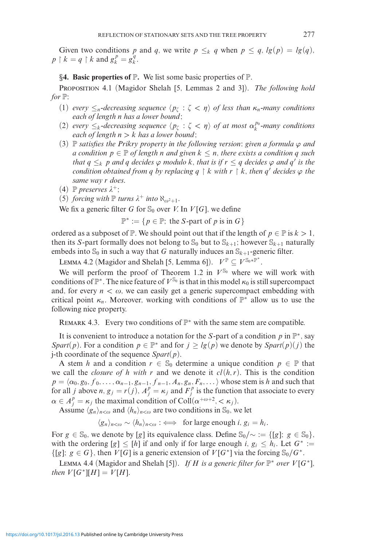Given two conditions p and q, we write  $p \leq k$  q when  $p \leq q$ ,  $lg(p) = lg(q)$ ,  $p \restriction k = q \restriction k$  and  $g_k^p = g_k^q$ .

*§***4. Basic properties of** P**.** We list some basic properties of P*.*

Proposition 4.1 (Magidor Shelah [5, Lemmas 2 and 3]). *The following hold for*  $\mathbb{P}$ *:* 

- (1) *every*  $\leq_n$ -decreasing sequence  $\langle p_\zeta : \zeta < \eta \rangle$  of less than  $\kappa_n$ -many conditions *each of length n has a lower bound;*
- (2) *every*  $\leq_k$ *-decreasing sequence*  $\langle p_{\zeta} : \zeta < \eta \rangle$  *of at most*  $\alpha_k^{p_0}$ *-many conditions each of length n>k has a lower bound;*
- (3) P *satisfies the Prikry property in the following version: given a formula*  $\varphi$  *and a* condition  $p \in \mathbb{P}$  of length *n* and given  $k ≤ n$ , there exists a condition *q* such *that*  $q \leq_k p$  *and*  $q$  *decides*  $\varphi$  *modulo*  $k$ *, that is if*  $r \leq q$  *decides*  $\varphi$  *and*  $q'$  *is the condition obtained from q by replacing*  $q \restriction k$  *with*  $r \restriction k$ *, then*  $q'$  *decides*  $\varphi$  *the same way r does.*
- $(4)$  **P** *preserves*  $\lambda^+$ ;
- (5) *forcing with*  $\mathbb{P}$  *turns*  $\lambda^+$  *into*  $\aleph_{\omega^2+1}$ *.*

We fix a generic filter *G* for  $\mathcal{S}_0$  over *V*. In *V*[*G*], we define

 $\mathbb{P}^* := \{ p \in \mathbb{P}; \text{ the } S\text{-part of } p \text{ is in } G \}$ 

ordered as a subposet of  $\mathbb{P}$ . We should point out that if the length of  $p \in \mathbb{P}$  is  $k > 1$ , then its *S*-part formally does not belong to  $\mathbb{S}_0$  but to  $\mathbb{S}_{k+1}$ ; however  $\mathbb{S}_{k+1}$  naturally embeds into  $\mathcal{S}_0$  in such a way that *G* naturally induces an  $\mathcal{S}_{k+1}$ -generic filter.

LEMMA 4.2 (Magidor and Shelah [5, Lemma 6]).  $V^{\mathbb{P}} \subseteq V^{\mathbb{S}_0 * \mathbb{P}^*}.$ 

We will perform the proof of Theorem 1.2 in  $V^{\mathbb{S}_0}$  where we will work with conditions of  $\mathbb{P}^*$ . The nice feature of  $V^{\mathbb{S}_0}$  is that in this model  $\kappa_0$  is still supercompact and, for every  $n < \omega$ , we can easily get a generic supercompact embedding with critical point  $\kappa_n$ . Moreover, working with conditions of  $\mathbb{P}^*$  allow us to use the following nice property.

REMARK 4.3. Every two conditions of  $\mathbb{P}^*$  with the same stem are compatible.

It is convenient to introduce a notation for the *S*-part of a condition *p* in P∗*,* say *Spart*(*p*). For a condition  $p \in \mathbb{P}^*$  and for  $j \geq lg(p)$  we denote by *Spart*(*p*)(*j*) the j-th coordinate of the sequence *Spart*(*p*)*.*

A stem *h* and a condition  $r \in \mathbb{S}_0$  determine a unique condition  $p \in \mathbb{P}$  that we call the *closure of h with r* and we denote it  $cl(h, r)$ . This is the condition  $p = \langle \alpha_0, g_0, f_0, \ldots, \alpha_{n-1}, g_{n-1}, f_{n-1}, A_n, g_n, F_n, \ldots \rangle$  whose stem is *h* and such that for all *j* above *n*,  $g_j = r(j)$ ,  $A_j^p = \kappa_j$  and  $F_j^p$  is the function that associate to every  $\alpha \in A_j^p = \kappa_j$  the maximal condition of Coll $(\alpha^{+ \omega + 2}, <\kappa_j)$ .

Assume  $\langle g_n \rangle_{n < \omega}$  and  $\langle h_n \rangle_{n < \omega}$  are two conditions in  $\mathbb{S}_0$ , we let

 $\langle g_n \rangle_{n < \omega} \sim \langle h_n \rangle_{n < \omega} : \iff \text{ for large enough } i, g_i = h_i.$ 

For  $g \in \mathbb{S}_0$ , we denote by [*g*] its equivalence class. Define  $\mathbb{S}_0/\sim := \{ [g]; g \in \mathbb{S}_0 \}$ , with the ordering  $[g] \leq [h]$  if and only if for large enough *i*,  $g_i \leq h_i$ . Let  $G^* :=$  $\{ [g] \colon g \in G \}$ , then *V* [*G*] is a generic extension of *V* [*G*<sup>\*</sup>] via the forcing S<sub>0</sub>/*G*<sup>\*</sup>.

LEMMA 4.4 (Magidor and Shelah [5]). *If H is a generic filter for*  $\mathbb{P}^*$  *over*  $V[G^*]$ *, then*  $V[G^*][H] = V[H]$ *.*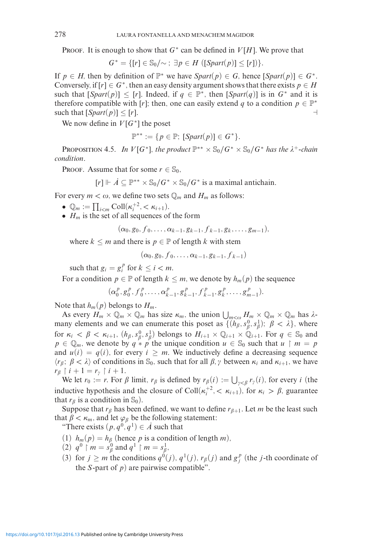PROOF. It is enough to show that  $G^*$  can be defined in  $V[H]$ . We prove that

$$
G^* = \{ [r] \in \mathbb{S}_0/\sim \; : \exists p \in H \; ([Spart(p)] \leq [r]) \}.
$$

If  $p \in H$ , then by definition of  $\mathbb{P}^*$  we have  $Spart(p) \in G$ , hence  $[Spart(p)] \in G^*$ . Conversely, if  $[r] \in G^*$ , then an easy density argument shows that there exists  $p \in H$ such that  $[Spart(p)] \leq [r]$ . Indeed, if  $q \in \mathbb{P}^*$ , then  $[Spart(q)]$  is in  $G^*$  and it is therefore compatible with [*r*]; then, one can easily extend *q* to a condition  $p \in \mathbb{P}^*$ such that  $[\text{Spart}(p)] \leq [r]$ .

We now define in  $V[G^*]$  the poset

$$
\mathbb{P}^{**} := \{ p \in \mathbb{P}; \ [Spart(p)] \in G^* \}.
$$

PROPOSITION 4.5. *In V*[ $G^*$ ]*, the product*  $\mathbb{P}^{**} \times \mathbb{S}_0/G^* \times \mathbb{S}_0/G^*$  *has the*  $\lambda^+$ -*chain condition.*

PROOF. Assume that for some  $r \in \mathbb{S}_0$ ,

$$
[r] \Vdash \dot{A} \subseteq \mathbb{P}^{**} \times \mathbb{S}_0 / G^* \times \mathbb{S}_0 / G^*
$$
 is a maximal antichain.

For every  $m < \omega$ , we define two sets  $\mathbb{Q}_m$  and  $H_m$  as follows:

- $\mathbb{Q}_m := \prod_{i < m} \text{Coll}(\kappa_i^{+2}, < \kappa_{i+1}).$
- $H_m$  is the set of all sequences of the form

 $(\alpha_0, g_0, f_0, \ldots, \alpha_{k-1}, g_{k-1}, f_{k-1}, g_k, \ldots, g_{m-1}),$ 

where  $k \leq m$  and there is  $p \in \mathbb{P}$  of length *k* with stem

$$
(\alpha_0,g_0,f_0,\ldots,\alpha_{k-1},g_{k-1},f_{k-1})
$$

such that  $g_i = g_i^p$  for  $k \le i < m$ .

For a condition  $p \in \mathbb{P}$  of length  $k \leq m$ , we denote by  $h_m(p)$  the sequence

 $(\alpha_0^p, g_0^p, f_0^p, \ldots, \alpha_{k-1}^p, g_{k-1}^p, f_{k-1}^p, g_k^p, \ldots, g_{m-1}^p).$ 

Note that  $h_m(p)$  belongs to  $H_m$ .

As every  $H_m \times \mathbb{Q}_m \times \mathbb{Q}_m$  has size  $\kappa_m$ , the union  $\bigcup_{m < \omega} H_m \times \mathbb{Q}_m \times \mathbb{Q}_m$  has  $\lambda$ many elements and we can enumerate this poset as  $\{(h_\beta, s_\beta^0, s_\beta^1) ; \ \beta < \lambda\}$ , where for  $\kappa_i < \beta < \kappa_{i+1}$ ,  $(h_\beta, s_\beta^0, s_\beta^1)$  belongs to  $H_{i+1} \times \mathbb{Q}_{i+1} \times \mathbb{Q}_{i+1}$ . For  $q \in \mathbb{S}_0$  and  $p \in \mathbb{Q}_m$ , we denote by  $q * p$  the unique condition  $u \in \mathbb{S}_0$  such that  $u \restriction m = p$ and  $u(i) = q(i)$ , for every  $i \geq m$ . We inductively define a decreasing sequence  $\langle r_\beta; \beta < \lambda \rangle$  of conditions in S<sub>0</sub>, such that for all  $\beta, \gamma$  between  $\kappa_i$  and  $\kappa_{i+1}$ , we have  $r_{\beta}$  |  $i + 1 = r_{\gamma}$  |  $i + 1$ .

We let  $r_0 := r$ . For  $\beta$  limit,  $r_\beta$  is defined by  $r_\beta(i) := \bigcup_{\gamma < \beta} r_\gamma(i)$ , for every *i* (the inductive hypothesis and the closure of  $Coll(\kappa_i^{+2}, < \kappa_{i+1})$ , for  $\kappa_i > \beta$ , guarantee that  $r_\beta$  is a condition in  $\mathbb{S}_0$ ).

Suppose that  $r_{\beta}$  has been defined, we want to define  $r_{\beta+1}$ . Let *m* be the least such that  $\beta < \kappa_m$ , and let  $\varphi_\beta$  be the following statement:

"There exists  $(p, q^0, q^1) \in \mathcal{A}$  such that

- (1)  $h_m(p) = h_\beta$  (hence *p* is a condition of length *m*),
- (2)  $q^0 \restriction m = s_\beta^0$  and  $q^1 \restriction m = s_\beta^1$ ,
- (3) for  $j \ge m$  the conditions  $q^0(j)$ ,  $q^1(j)$ ,  $r_\beta(j)$  and  $g_j^p$  (the *j*-th coordinate of the *S*-part of  $p$ ) are pairwise compatible".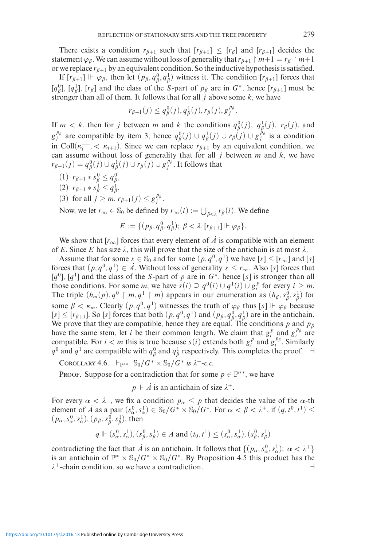There exists a condition  $r_{\beta+1}$  such that  $[r_{\beta+1}] \leq [r_{\beta}]$  and  $[r_{\beta+1}]$  decides the statement  $\varphi_{\beta}$ . We can assume without loss of generality that  $r_{\beta+1} \restriction m+1 = r_{\beta} \restriction m+1$ or we replace  $r_{\beta+1}$  by an equivalent condition. So the inductive hypothesis is satisfied.

If  $[r_{\beta+1}] \Vdash \varphi_{\beta}$ , then let  $(p_{\beta}, q_{\beta}^0, q_{\beta}^1)$  witness it. The condition  $[r_{\beta+1}]$  forces that  $[q_\beta^0]$ ,  $[q_\beta^1]$ ,  $[r_\beta]$  and the class of the *S*-part of  $p_\beta$  are in  $G^*$ , hence  $[r_{\beta+1}]$  must be stronger than all of them. It follows that for all *j* above some *k,* we have

$$
r_{\beta+1}(j) \leq q_{\beta}^0(j), q_{\beta}^1(j), r_{\beta}(j), g_j^{p_{\beta}}.
$$

If  $m < k$ , then for *j* between *m* and *k* the conditions  $q_{\beta}^{0}(j)$ ,  $q_{\beta}^{1}(j)$ ,  $r_{\beta}(j)$ , and  $g_j^{p_\beta}$  are compatible by item 3, hence  $q_\beta^0(j) \cup q_\beta^1(j) \cup r_\beta(j) \cup g_j^{p_\beta}$  is a condition in Coll $(\kappa_i^{++}, < \kappa_{i+1})$ . Since we can replace  $r_{\beta+1}$  by an equivalent condition, we can assume without loss of generality that for all  $j$  between  $m$  and  $k$ , we have  $r_{\beta+1}(j) = q_{\beta}^0(j) \cup q_{\beta}^1(j) \cup r_{\beta}(j) \cup g_j^{p_{\beta}}$ . It follows that

- $(1)$   $r_{\beta+1} * s_{\beta}^0 \leq q_{\beta}^0$
- $(2)$   $r_{\beta+1} * s_{\beta}^1 \leq q_{\beta}^1$ ,
- (3) for all  $j \geq m, r_{\beta+1}(j) \leq g_j^{p_\beta}$ .

Now, we let  $r_{\infty} \in \mathbb{S}_0$  be defined by  $r_{\infty}(i) := \bigcup_{\beta < \lambda} r_{\beta}(i)$ . We define

$$
E := \{ (p_{\beta}, q_{\beta}^0, q_{\beta}^1); \ \beta < \lambda, [r_{\beta+1}] \Vdash \varphi_{\beta} \}.
$$

We show that  $[r_\infty]$  forces that every element of  $\overrightarrow{A}$  is compatible with an element of *E*. Since *E* has size  $\lambda$ , this will prove that the size of the antichain is at most  $\lambda$ .

Assume that for some  $s \in \mathbb{S}_0$  and for some  $(p, q^0, q^1)$  we have  $[s] \leq [r_\infty]$  and  $[s]$ forces that  $(p, q^0, q^1) \in \mathcal{A}$ . Without loss of generality  $s \leq r_\infty$ . Also [*s*] forces that  $[q^0]$ *,*  $[q^1]$  and the class of the *S*-part of *p* are in  $G^*$ *,* hence [*s*] is stronger than all those conditions. For some *m*, we have  $s(i) \supseteq q^0(i) \cup q^1(i) \cup g_i^p$  for every  $i \geq m$ . The triple  $(h_m(p), q^0 \restriction m, q^1 \restriction m)$  appears in our enumeration as  $(h_\beta, s_\beta^0, s_\beta^1)$  for some  $\beta < \kappa_m$ . Clearly  $(p, q^0, q^1)$  witnesses the truth of  $\varphi_\beta$  thus  $[s] \Vdash \varphi_\beta$  because  $[s] \leq [r_{\beta+1}]$ . So [s] forces that both  $(p, q^0, q^1)$  and  $(p_\beta, q_\beta^0, q_\beta^1)$  are in the antichain. We prove that they are compatible, hence they are equal. The conditions *p* and *p* have the same stem, let *i* be their common length. We claim that  $g_i^p$  and  $g_i^{p_\beta}$  are compatible. For  $i < m$  this is true because  $s(i)$  extends both  $g_i^p$  and  $g_i^{p_p}$ . Similarly  $q^0$  and  $q^1$  are compatible with  $q^0_\beta$  and  $q^1_\beta$  respectively. This completes the proof.  $\rightarrow$ 

COROLLARY 4.6.  $\Vdash_{\mathbb{P}^{**}}$   $\mathbb{S}_0/G^* \times \mathbb{S}_0/G^*$  *is*  $\lambda^+$ -*c.c.* 

PROOF. Suppose for a contradiction that for some  $p \in \mathbb{P}^{**}$ , we have

 $p \Vdash \dot{A}$  is an antichain of size  $\lambda^+$ .

For every  $\alpha < \lambda^+$ , we fix a condition  $p_\alpha \leq p$  that decides the value of the  $\alpha$ -th element of *A* as a pair  $(s_\alpha^0, s_\alpha^1) \in \mathbb{S}_0 / G^* \times \mathbb{S}_0 / G^*$ . For  $\alpha < \beta < \lambda^+$ , if  $(q, t^0, t^1) \le$  $(p_{\alpha}, s_{\alpha}^0, s_{\alpha}^1), (p_{\beta}, s_{\beta}^0, s_{\beta}^1)$ , then

$$
q \Vdash (s_\alpha^0, s_\alpha^1), (s_\beta^0, s_\beta^1) \in \dot{A}
$$
 and  $(t_0, t^1) \leq (s_\alpha^0, s_\alpha^1), (s_\beta^0, s_\beta^1)$ 

contradicting the fact that *A*<sup>i</sup> is an antichain. It follows that  $\{(p_\alpha, s_\alpha^0, s_\alpha^1); \alpha < \lambda^+\}$ is an antichain of  $\mathbb{P}^* \times \mathbb{S}_0 / G^* \times \mathbb{S}_0 / G^*$ . By Proposition 4.5 this product has the  $\lambda^+$ -chain condition, so we have a contradiction.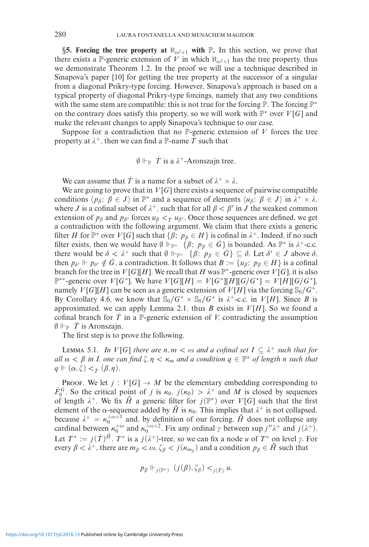**§5. Forcing the tree property at**  $\aleph_{\omega^2+1}$  with  $\mathbb{P}$ . In this section, we prove that there exists a  $\mathbb{P}$ -generic extension of *V* in which  $\aleph_{\omega^2+1}$  has the tree property, thus we demonstrate Theorem 1.2. In the proof we will use a technique described in Sinapova's paper [10] for getting the tree property at the successor of a singular from a diagonal Prikry-type forcing. However, Sinapova's approach is based on a typical property of diagonal Prikry-type forcings, namely that any two conditions with the same stem are compatible; this is not true for the forcing *P*. The forcing *P***<sup>\*</sup>** on the contrary does satisfy this property, so we will work with P<sup>∗</sup> over *V* [*G*] and make the relevant changes to apply Sinapova's technique to our case.

Suppose for a contradiction that no  $\mathbb{P}$ -generic extension of  $V$  forces the tree property at  $\lambda^+$ , then we can find a P-name  $\dot{T}$  such that

 $\emptyset \Vdash_{\mathbb{P}} \dot{T}$  is a  $\lambda^+$ -Aronszajn tree.

We can assume that  $\dot{T}$  is a name for a subset of  $\lambda^+ \times \lambda$ .

We are going to prove that in  $V[G]$  there exists a sequence of pairwise compatible conditions  $\langle p_{\beta}; \beta \in J \rangle$  in  $\mathbb{P}^*$  and a sequence of elements  $\langle u_{\beta}; \beta \in J \rangle$  in  $\lambda^+ \times \lambda$ , where *J* is a cofinal subset of  $\lambda^+$ , such that for all  $\beta < \beta'$  in *J* the weakest common extension of  $p_{\beta}$  and  $p_{\beta'}$  forces  $u_{\beta} < \tau u_{\beta'}$ . Once those sequences are defined, we get a contradiction with the following argument. We claim that there exists a generic filter *H* for  $\mathbb{P}^*$  over *V*[*G*] such that  $\{\beta; p_\beta \in H\}$  is cofinal in  $\lambda^+$ . Indeed, if no such filter exists, then we would have  $\emptyset \Vdash_{\mathbb{P}^*} {\{\beta; p_{\beta} \in \dot{G}\}}$  is bounded. As  $\mathbb{P}^*$  is  $\lambda^+$ -c.c. there would be  $\delta < \lambda^+$  such that  $\emptyset \Vdash_{\mathbb{P}^*} {\{\beta; \ p_\beta \in G\}} \subseteq \delta$ . Let  $\delta' \in J$  above  $\delta$ , then  $p_{\delta'} \Vdash p_{\delta'} \notin \dot{G}$ , a contradiction. It follows that  $B := \{u_{\beta}; p_{\beta} \in H\}$  is a cofinal branch for the tree in *V* [*G*][*H*]. We recall that *H* was  $\mathbb{P}^*$ -generic over *V* [*G*], it is also P∗∗-generic over *V* [*G*∗]*.* We have *V* [*G*][*H*] = *V* [*G*∗][*H*][*G/G*∗] = *V* [*H*][*G/G*∗]*,* namely *V*[*G*][*H*] can be seen as a generic extension of *V*[*H*] via the forcing  $\mathcal{S}_0/G^*$ . By Corollary 4.6, we know that  $\mathcal{S}_0/G^* \times \mathcal{S}_0/G^*$  is  $\lambda^+$ -c.c. in *V*[*H*]. Since *B* is approximated, we can apply Lemma 2.1, thus  $B$  exists in  $V[H]$ . So we found a cofinal branch for  $\overline{T}$  in a  $\mathbb{P}$ -generic extension of *V*, contradicting the assumption  $\emptyset \Vdash_{\mathbb{P}} \dot{T}$  is Aronszajn.

The first step is to prove the following.

LEMMA 5.1. *In V*[*G*] *there are n*, *m*  $\lt \omega$  *and a cofinal set*  $I \subseteq \lambda^+$  *such that for*  $all \alpha < \beta$  *in I, one can find*  $\zeta, \eta < \kappa_m$  *and a condition*  $q \in \mathbb{P}^*$  *of length n such that*  $q \Vdash (\alpha, \zeta) <_{\dot{T}} (\beta, \eta).$ 

PROOF. We let  $j: V[G] \to M$  be the elementary embedding corresponding to *F*<sup>*G*</sup>. So the critical point of *j* is  $\kappa_0$ ,  $j(\kappa_0) > \lambda^+$  and *M* is closed by sequences of length  $\lambda^+$ . We fix  $\overline{H}$  a generic filter for  $j(\mathbb{P}^*)$  over  $V[G]$  such that the first element of the *α*-sequence added by  $\bar{H}$  is  $\kappa_0$ . This implies that  $\lambda^+$  is not collapsed, because  $\lambda^+ = \kappa_0^{+\omega+1}$  and, by definition of our forcing,  $\bar{H}$  does not collapse any cardinal between  $\kappa_0^{+\omega}$  and  $\kappa_0^{+\omega+2}$ . Fix any ordinal  $\gamma$  between sup  $j''\lambda^+$  and  $j(\lambda^+)$ . Let  $T^* := j(\dot{T})^{\bar{H}}$ .  $T^*$  is a  $j(\lambda^+)$ -tree, so we can fix a node *u* of  $T^*$  on level  $\gamma$ . For every  $\beta < \lambda^+$ , there are  $m_{\beta} < \omega$ ,  $\zeta_{\beta} < j(\kappa_{m_{\beta}})$  and a condition  $p_{\beta} \in \bar{H}$  such that

$$
p_{\beta} \Vdash_{j(\mathbb{P}^*)} (j(\beta), \zeta_{\beta}) <_{j(\dot{T})} u.
$$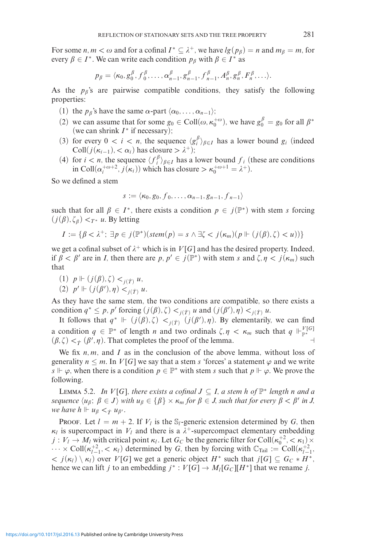For some *n*,  $m < \omega$  and for a cofinal  $I^* \subseteq \lambda^+$ , we have  $lg(p_\beta) = n$  and  $m_\beta = m$ , for every  $\beta \in I^*$ . We can write each condition  $p_\beta$  with  $\beta \in I^*$  as

$$
p_{\beta} = \langle \kappa_0, g_0^{\beta}, f_0^{\beta}, \dots, \alpha_{n-1}^{\beta}, g_{n-1}^{\beta}, f_{n-1}^{\beta}, A_n^{\beta}, g_n^{\beta}, F_n^{\beta}, \dots \rangle.
$$

As the  $p_\beta$ 's are pairwise compatible conditions, they satisfy the following properties:

- (1) the  $p_{\beta}$ 's have the same  $\alpha$ -part  $\langle \alpha_0, \ldots, \alpha_{n-1} \rangle$ ;
- (2) we can assume that for some  $g_0 \in Coll(\omega, \kappa_0^{+\omega})$ , we have  $g_0^{\beta} = g_0$  for all  $\beta^*$ (we can shrink *I*<sup>\*</sup> if necessary);
- (3) for every  $0 \lt i \lt n$ , the sequence  $\langle g_i^{\beta} \rangle_{\beta \in I}$  has a lower bound  $g_i$  (indeed Coll $(j(\kappa_{i-1}), < \alpha_i)$  has closure  $> \lambda^+$ ;
- (4) for  $i < n$ , the sequence  $\langle f_i^{\beta} \rangle_{\beta \in I}$  has a lower bound  $f_i$  (these are conditions in Coll $(\alpha_i^{+\omega+2}, j(\kappa_i))$  which has closure  $>\kappa_0^{+\omega+1} = \lambda^+$ .

So we defined a stem

$$
s := \langle \kappa_0, g_0, f_0, \ldots, \alpha_{n-1}, g_{n-1}, f_{n-1} \rangle
$$

such that for all  $\beta \in I^*$ , there exists a condition  $p \in j(\mathbb{P}^*)$  with stem *s* forcing  $(j(\beta), \zeta_{\beta}) <_{T^*} u$ . By letting

$$
I := \{ \beta < \lambda^+; \exists p \in j(\mathbb{P}^*)(stem(p) = s \land \exists \zeta < j(\kappa_m)(p \Vdash (j(\beta), \zeta) < u)) \}
$$

we get a cofinal subset of  $\lambda^+$  which is in  $V[G]$  and has the desired property. Indeed, if  $\beta < \beta'$  are in *I*, then there are  $p, p' \in j(\mathbb{P}^*)$  with stem *s* and  $\zeta, \eta < j(\kappa_m)$  such that

$$
(1) p \Vdash (j(\beta), \zeta) <_{j(\dot{T})} u,
$$

(2) 
$$
p' \Vdash (j(\beta'), \eta) <_{j(\dot{T})} u
$$
.

As they have the same stem, the two conditions are compatible, so there exists a condition  $q^* \leq p, p'$  forcing  $(j(\beta), \zeta) <_{j(\dot{T})} u$  and  $(j(\beta'), \eta) <_{j(\dot{T})} u$ .

It follows that  $q^* \Vdash (j(\beta), \zeta) <_{j(\dot{T})} (j(\beta'), \eta)$ . By elementarily, we can find a condition  $q \in \mathbb{P}^*$  of length *n* and two ordinals  $\zeta, \eta < \kappa_m$  such that  $q \Vdash_{\mathbb{P}^*}^{V[G]}$  $(\beta, \zeta) <_{\dot{T}} (\beta', \eta)$ . That completes the proof of the lemma.

We fix *n, m*, and *I* as in the conclusion of the above lemma, without loss of generality  $n \leq m$ . In  $V[G]$  we say that a stem *s* 'forces' a statement  $\varphi$  and we write *s*  $\vdash \varphi$ , when there is a condition  $p \in \mathbb{P}^*$  with stem *s* such that  $p \Vdash \varphi$ . We prove the following.

LEMMA 5.2. *In V*[*G*]*, there exists a cofinal J* ⊆ *I, a stem h of*  $\mathbb{P}^*$  *length n and a*  $s$ equence  $\langle u_\beta;\ \beta\in J\rangle$  with  $u_\beta\in\{\beta\}\times\kappa_m$  for  $\beta\in J$ , such that for every  $\beta<\beta'$  in J, *we have h*  $\Vdash u_{\beta} <_{\dot{T}} u_{\beta'}$ .

PROOF. Let  $l = m + 2$ . If  $V_l$  is the S<sub>l</sub>-generic extension determined by G, then  $\kappa_l$  is supercompact in  $V_l$  and there is a  $\lambda^+$ -supercompact elementary embedding  $j: V_l \to M_l$  with critical point  $\kappa_l$ . Let  $G_C$  be the generic filter for Coll $(\kappa_0^{+2}, < \kappa_1) \times$  $\cdots \times \text{Coll}(\kappa_{l-1}^{+2}, < \kappa_l)$  determined by *G*, then by forcing with  $\mathbb{C}_{\text{Tail}} := \text{Coll}(\kappa_{l-1}^{+2}, < \kappa_l)$  $\langle f, g \rangle \langle g, g \rangle$  over *V*[*G*] we get a generic object *H*<sup>\*</sup> such that *j*[*G*]  $\subseteq G_C * H^*$ , hence we can lift *j* to an embedding  $j^*$  :  $V[G] \to M_l[G_C][H^*]$  that we rename *j*.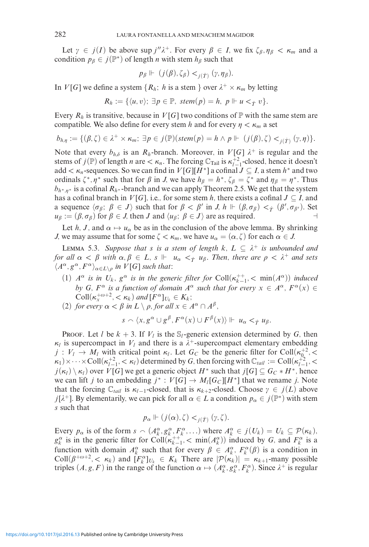Let  $\gamma \in j(I)$  be above sup  $j''\lambda^+$ . For every  $\beta \in I$ , we fix  $\zeta_{\beta, \eta_{\beta}} < \kappa_m$  and a condition  $p_{\beta} \in j(\mathbb{P}^*)$  of length *n* with stem  $h_{\beta}$  such that

$$
p_{\beta} \Vdash (j(\beta), \zeta_{\beta}) <_{j(\dot{T})} (\gamma, \eta_{\beta}).
$$

In *V*[*G*] we define a system { $R_h$ ; *h* is a stem } over  $\lambda^+ \times \kappa_m$  by letting

$$
R_h := \{ \langle u, v \rangle; \; \exists p \in \mathbb{P}, \; stem(p) = h, \; p \Vdash u <_{\dot{T}} v \}.
$$

Every  $R_h$  is transitive, because in  $V[G]$  two conditions of  $\mathbb P$  with the same stem are compatible. We also define for every stem *h* and for every  $\eta < \kappa_m$  a set

$$
b_{h,\eta} := \{ (\beta,\zeta) \in \lambda^+ \times \kappa_m; \ \exists p \in j(\mathbb{P}) (\mathit{stem}(p) = h \land p \Vdash (j(\beta),\zeta) <_{j(\dot{T})} (\gamma,\eta) \}.
$$

Note that every  $b_{h,\delta}$  is an  $R_h$ -branch. Moreover, in  $V[G]$   $\lambda^+$  is regular and the stems of  $j(\mathbb{P})$  of length *n* are  $\lt \kappa_n$ . The forcing  $\mathbb{C}_{\text{Tail}}$  is  $\kappa_{l-1}^{+2}$ -closed, hence it doesn't add  $\lt$   $\kappa_n$ -sequences. So we can find in *V*[*G*][*H*<sup>\*</sup>] a cofinal *J*  $\subseteq$  *I*, a stem *h*<sup>\*</sup> and two ordinals  $\zeta^*, \eta^*$  such that for  $\beta$  in *J*, we have  $h_\beta = h^*, \zeta_\beta = \zeta^*$  and  $\eta_\beta = \eta^*$ . Thus *b*<sub>*h*<sup>∗</sup>*,* $\eta$ <sup>∗</sup> is a cofinal *R*<sub>*h*</sub><sup>∗</sup>-branch and we can apply Theorem 2.5. We get that the system</sub> has a cofinal branch in *V*[*G*], i.e., for some stem *h*, there exists a cofinal  $J \subseteq I$ , and a sequence  $\langle \sigma_{\beta}; \beta \in J \rangle$  such that for  $\beta < \beta'$  in *J, h*  $\Vdash (\beta, \sigma_{\beta}) <_{\dot{T}} (\beta', \sigma_{\beta'})$ . Set  $u_{\beta} := (\beta, \sigma_{\beta})$  for  $\beta \in J$ , then *J* and  $\langle u_{\beta}; \beta \in J \rangle$  are as required.

Let *h*, *J*, and  $\alpha \mapsto u_{\alpha}$  be as in the conclusion of the above lemma. By shrinking *J*, we may assume that for some  $\zeta < \kappa_m$ , we have  $u_\alpha = (\alpha, \zeta)$  for each  $\alpha \in J$ .

LEMMA 5.3. Suppose that *s* is a stem of length  $k$ ,  $L \subseteq \lambda^+$  is unbounded and *for all*  $\alpha < \beta$  *with*  $\alpha, \beta \in L$ ,  $s \Vdash u_\alpha <sup>T</sup>$  *u<sub>β</sub>*. Then, there are  $\rho < \lambda^+$  and sets  $\langle A^{\alpha}, g^{\alpha}, F^{\alpha} \rangle_{\alpha \in L \setminus \rho}$  *in V*[*G*] *such that*:

- (1)  $A^{\alpha}$  *is in*  $U_k$ ,  $g^{\alpha}$  *is in the generic filter for* Coll $(\kappa_{k-1}^{++}, < \min(A^{\alpha}))$  *induced by G,*  $F^{\alpha}$  *is a function of domain*  $A^{\alpha}$  *such that for every*  $x \in A^{\alpha}$ ,  $F^{\alpha}(x) \in$  $\text{Coll}(\kappa_x^{+\omega+2}, < \kappa_k)$  and  $[F^{\alpha}]_{U_k} \in K_k$ ;
- (2) *for every*  $\alpha < \beta$  *in*  $L \setminus \rho$ *, for all*  $x \in A^{\alpha} \cap A^{\beta}$ *,*

$$
s \smallfrown \langle x, g^{\alpha} \cup g^{\beta}, F^{\alpha}(x) \cup F^{\beta}(x) \rangle \Vdash u_{\alpha} <_{\dot{T}} u_{\beta}.
$$

PROOF. Let *l* be  $k + 3$ . If  $V_l$  is the  $S_l$ -generic extension determined by *G*, then  $\kappa_l$  is supercompact in  $V_l$  and there is a  $\lambda^+$ -supercompact elementary embedding  $j: V_l \to M_l$  with critical point  $\kappa_l$ . Let  $G_c$  be the generic filter for Coll $(\kappa_0^2, \langle \cdot \rangle)$  $\kappa_1$ ) × ···×Coll( $\kappa_{l-1}^{+2}$ , <  $\kappa_l$ ) determined by *G*, then forcing with  $\mathbb{C}_{tail} := \text{Coll}(\kappa_{l-1}^{+2},$  <  $j(\kappa_l) \setminus \kappa_l$  over *V*[*G*] we get a generic object *H*<sup>∗</sup> such that  $j[G] \subseteq G_C * H^*$ , hence we can lift *j* to an embedding  $j^*$ :  $V[G] \to M_l[G_C][H^*]$  that we rename *j*. Note that the forcing  $\mathbb{C}_{tail}$  is  $\kappa_{l-1}$ -closed, that is  $\kappa_{k+2}$ -closed. Choose  $\gamma \in j(L)$  above *j*[ $\lambda^+$ ]. By elementarily, we can pick for all  $\alpha \in L$  a condition  $p_\alpha \in j(\mathbb{P}^*)$  with stem *s* such that

$$
p_{\alpha} \Vdash (j(\alpha), \zeta) <_{j(\dot{T})} (\gamma, \zeta).
$$

Every  $p_{\alpha}$  is of the form  $s \sim (A_k^{\alpha}, g_k^{\alpha}, F_k^{\alpha}, \ldots)$  where  $A_k^{\alpha} \in j(U_k) = U_k \subseteq \mathcal{P}(\kappa_k)$ ,  $g_k^{\alpha}$  is in the generic filter for Coll $(k_{k-1}^{++}, < \min(A_k^{\alpha}))$  induced by *G*, and  $F_k^{\alpha}$  is a function with domain  $A_k^{\alpha}$  such that for every  $\beta \in A_k^{\alpha}$ ,  $F_k^{\alpha}(\beta)$  is a condition in  $\text{Coll}(\beta^{+\omega+2}, < \kappa_k)$  and  $[F_k^{\alpha}]_{U_k} \in K_k$  There are  $|\mathcal{P}(\kappa_k)| = \kappa_{k+1}$ -many possible triples  $(A, g, F)$  in the range of the function  $\alpha \mapsto (A_k^{\alpha}, g_k^{\alpha}, F_k^{\alpha})$ . Since  $\lambda^+$  is regular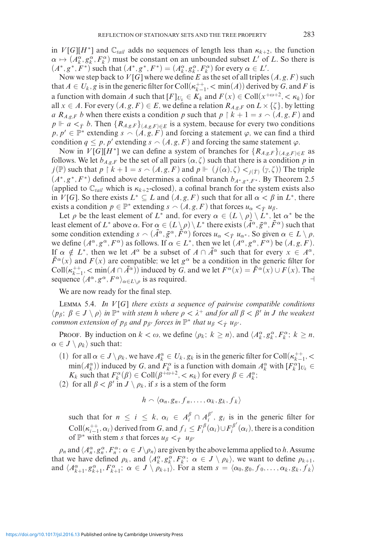in *V*[*G*][*H*<sup>\*</sup>] and  $\mathbb{C}_{tail}$  adds no sequences of length less than  $\kappa_{k+2}$ , the function  $\alpha \mapsto (A_k^{\alpha}, g_k^{\alpha}, F_k^{\alpha})$  must be constant on an unbounded subset *L'* of *L*. So there is  $(A^*, g^*, F^*)$  such that  $(A^*, g^*, F^*) = (A_k^{\alpha}, g_k^{\alpha}, F_k^{\alpha})$  for every  $\alpha \in L'.$ 

Now we step back to  $V[G]$  where we define E as the set of all triples  $(A, g, F)$  such that  $A \in U_k$ , g is in the generic filter for Coll $(\kappa_{k-1}^{++}, < \min(A))$  derived by *G*, and *F* is a function with domain *A* such that  $[F]_{U_k} \in K_k$  and  $F(x) \in \text{Coll}(x^{+\omega+2}, < \kappa_k)$  for all  $x \in A$ . For every  $(A, g, F) \in E$ , we define a relation  $R_{A,g,F}$  on  $L \times \{\zeta\}$ , by letting *a*  $R_{A,g,F}$  *b* when there exists a condition *p* such that  $p \restriction k + 1 = s \cap (A,g,F)$  and  $p \Vdash a \leq_T b$ . Then  $\{R_{A,g,F}\}_{(A,g,F)\in E}$  is a system, because for every two conditions  $p, p' \in \mathbb{P}^*$  extending  $s \cap (A, g, F)$  and forcing a statement  $\varphi$ , we can find a third condition  $q \leq p$ , p' extending  $s \sim (A, g, F)$  and forcing the same statement  $\varphi$ .

Now in *V*[*G*][*H*<sup>\*</sup>] we can define a system of branches for  ${R_{A,g,F}}_{(A,g,F)\in E}$  as follows. We let  $b_{A,g,F}$  be the set of all pairs  $(\alpha, \zeta)$  such that there is a condition p in  $j(\mathbb{P})$  such that  $p \restriction k + 1 = s \sim (A, g, F)$  and  $p \Vdash (j(\alpha), \zeta) <_{j(\dot{T})} (\gamma, \zeta)$ ) The triple  $(A^*, g^*, F^*)$  defined above determines a cofinal branch  $b_{A^*, g^*, F^*}$ . By Theorem 2.5 (applied to  $\mathbb{C}_{tail}$  which is  $\kappa_{k+2}$ -closed), a cofinal branch for the system exists also in *V*[*G*]. So there exists  $L^* \subseteq L$  and  $(A, g, F)$  such that for all  $\alpha < \beta$  in  $L^*$ , there exists a condition  $p \in \mathbb{P}^*$  extending  $s \cap (A, g, F)$  that forces  $u_\alpha \leq_T u_\beta$ .

Let  $\rho$  be the least element of  $L^*$  and, for every  $\alpha \in (L \setminus \rho) \setminus L^*$ , let  $\alpha^*$  be the least element of *L*<sup>∗</sup> above *α*. For *α* ∈  $(L\setminus\rho) \setminus L^*$  there exists  $(\bar{A}^\alpha, \bar{g}^\alpha, \bar{F}^\alpha)$  such that some condition extending  $s \sim (\bar{A}^\alpha, \bar{g}^\alpha, \bar{F}^\alpha)$  forces  $u_\alpha <_{\dot{T}} u_{\alpha^*}$ . So given  $\alpha \in L \setminus \rho$ , we define  $(A^{\alpha}, g^{\alpha}, F^{\alpha})$  as follows. If  $\alpha \in L^*$ , then we let  $(A^{\alpha}, g^{\alpha}, F^{\alpha})$  be  $(A, g, F)$ . If  $\alpha \notin L^*$ , then we let  $A^{\alpha}$  be a subset of  $A \cap \overline{A}^{\alpha}$  such that for every  $x \in A^{\alpha}$ ,  $\bar{F}^{\alpha}(x)$  and  $F(x)$  are compatible; we let  $g^{\alpha}$  be a condition in the generic filter for  $\text{Coll}(\kappa_{k-1}^{++}, \langle \min(A \cap \bar{A}^{\alpha})\rangle)$  induced by *G*, and we let  $F^{\alpha}(x) = \bar{F}^{\alpha}(x) \cup F(x)$ . The sequence  $\langle A^{\alpha}, g^{\alpha}, F^{\alpha} \rangle_{\alpha \in L \setminus \rho}$  is as required.

We are now ready for the final step.

Lemma 5.4. *In V* [*G*] *there exists a sequence of pairwise compatible conditions*  $\langle p_{\beta}; \beta \in J \setminus \rho \rangle$  *in*  $\mathbb{P}^*$  *with stem h where*  $\rho < \lambda^+$  *and for all*  $\beta < \beta'$  *in J the weakest common extension of*  $p_\beta$  *and*  $p_{\beta'}$  *forces in*  $\mathbb{P}^*$  *that*  $u_\beta < \gamma$  *u*<sub> $\beta'$ </sub>.

Proof. By induction on  $k < \omega$ , we define  $\langle \rho_k; k \ge n \rangle$ , and  $\langle A_k^{\alpha}, g_k^{\alpha}, F_k^{\alpha}; k \ge n \rangle$ ,  $\alpha \in J \setminus \rho_k$  such that:

(1) for all  $\alpha \in J \setminus \rho_k$ , we have  $A_k^{\alpha} \in U_k$ ,  $g_k$  is in the generic filter for Coll $(\kappa_{k-1}^{++}, <$  $\min(A_k^{\alpha})$  induced by *G*, and  $F_k^{\alpha}$  is a function with domain  $A_k^{\alpha}$  with  $[F_k^{\alpha}]_{U_k} \in$ *K<sub>k</sub>* such that  $F_k^{\alpha}(\beta) \in \text{Coll}(\beta^{+\omega+2}, < \kappa_k)$  for every  $\beta \in A_k^{\alpha}$ ;

(2) for all  $\beta < \beta'$  in  $J \setminus \rho_k$ , if *s* is a stem of the form

$$
h \smallfrown \langle \alpha_n, g_n, f_n, \ldots, \alpha_k, g_k, f_k \rangle
$$

such that for  $n \leq i \leq k$ ,  $\alpha_i \in A_i^{\beta} \cap A_i^{\beta'}$ ,  $g_i$  is in the generic filter for  $\text{Coll}(\kappa_{i-1}^{++}, \alpha_i)$  derived from *G*, and  $f_i \leq F_i^{\beta}(\alpha_i) \cup F_i^{\beta'}(\alpha_i)$ , there is a condition of  $\mathbb{P}^*$  with stem *s* that forces *u<sub>β</sub>*  $\lt_T$  *u*<sub>*8'*</sub>

 $\rho_n$  and  $\langle A_n^{\alpha}, g_n^{\alpha}, F_n^{\alpha}$ ;  $\alpha \in J \setminus \rho_n \rangle$  are given by the above lemma applied to *h*. Assume that we have defined  $\rho_k$ , and  $\langle A_k^{\alpha}, g_k^{\alpha}, F_k^{\alpha} \rangle$ ;  $\alpha \in J \setminus \rho_k$ , we want to define  $\rho_{k+1}$ , and  $\langle A_{k+1}^{\alpha}, g_{k+1}^{\alpha}, F_{k+1}^{\alpha}$ ;  $\alpha \in J \setminus \rho_{k+1}$ . For a stem  $s = \langle \alpha_0, g_0, f_0, \ldots, \alpha_k, g_k, f_k \rangle$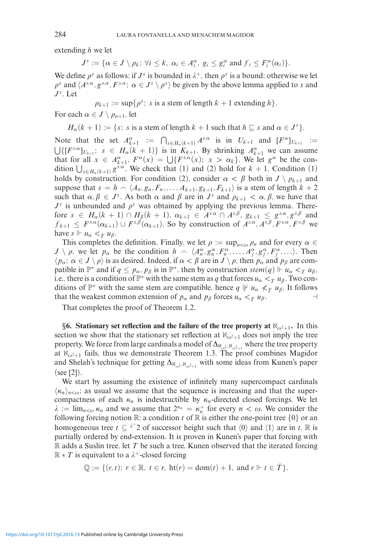extending *h* we let

 $J^s := {\alpha \in J \setminus \rho_k; \forall i \leq k, \alpha_i \in A_i^{\alpha}, g_i \leq g_i^{\alpha} \text{ and } f_i \leq F_i^{\alpha}(\alpha_i)}$ .

We define  $\rho^s$  as follows: if  $J^s$  is bounded in  $\lambda^+$ , then  $\rho^s$  is a bound; otherwise we let  $\rho^s$  and  $\langle A^{s,\alpha}, g^{s,\alpha}, F^{s,\alpha}; \alpha \in J^s \setminus \rho^s \rangle$  be given by the above lemma applied to *s* and  $J<sup>s</sup>$ *.* Let

 $p_{k+1} := \sup\{p^s : s \text{ is a stem of length } k+1 \text{ extending } h\}.$ 

For each  $\alpha \in J \setminus \rho_{n+1}$ , let

 $H_{\alpha}(k + 1) := \{s; s \text{ is a stem of length } k + 1 \text{ such that } h \subseteq s \text{ and } \alpha \in J^{s}\}.$ 

Note that the set  $A_{k+1}^{\alpha} := \bigcap_{s \in H_{\alpha}(k+1)} A^{s,\alpha}$  is in  $U_{k+1}$  and  $[F^{\alpha}]_{U_{k+1}} :=$  $\bigcup \{ [F^{s,\alpha}]_{U_{k+1}}; s \in H_\alpha(k+1) \}$  is in  $K_{k+1}$ . By shrinking  $A_{k+1}^\alpha$  we can assume that for all  $x \in A_{k+1}^{\alpha}$ ,  $F^{\alpha}(x) = \bigcup \{F^{s,\alpha}(x); x > \alpha_k\}$ . We let  $g^{\alpha}$  be the condition  $\bigcup_{s \in H_\alpha(k+1)} g^{s,\alpha}$ . We check that (1) and (2) hold for  $k+1$ . Condition (1) holds by construction. For condition (2), consider  $\alpha < \beta$  both in  $J \setminus \rho_{k+1}$  and suppose that  $s = h \sim \langle A_n, g_n, F_n, \dots, A_{k+1}, g_{k+1}, F_{k+1} \rangle$  is a stem of length  $k+2$ such that  $\alpha, \beta \in J^s$ . As both  $\alpha$  and  $\beta$  are in  $J^s$  and  $\rho_{k+1} < \alpha, \beta$ , we have that  $J<sup>s</sup>$  is unbounded and  $\rho<sup>s</sup>$  was obtained by applying the previous lemma. Therefore  $s \in H_\alpha(k+1) \cap H_\beta(k+1)$ ,  $\alpha_{k+1} \in A^{s,\alpha} \cap A^{s,\beta}$ ,  $g_{k+1} \leq g^{s,\alpha}, g^{s,\beta}$  and  $f_{k+1} \leq F^{s,\alpha}(\alpha_{k+1}) \cup F^{s,\beta}(\alpha_{k+1})$ . So by construction of  $A^{s,\alpha}, A^{s,\beta}, F^{s,\alpha}, F^{s,\beta}$  we have  $s \Vdash u_\alpha <_{\dot{T}} u_\beta$ .

This completes the definition. Finally, we let  $\rho := \sup_{n \leq \omega} \rho_n$  and for every  $\alpha \in$  $J \setminus \rho$ , we let  $p_{\alpha}$  be the condition  $h \sim \langle A_n^{\alpha}, g_n^{\alpha}, F_n^{\alpha}, \dots, A_j^{\alpha}, g_j^{\alpha}, F_j^{\alpha}, \dots \rangle$ . Then  $\langle p_{\alpha}; \alpha \in J \setminus \rho \rangle$  is as desired. Indeed, if  $\alpha < \beta$  are in  $J \setminus \rho$ , then  $p_{\alpha}$  and  $p_{\beta}$  are compatible in  $\mathbb{P}^*$  and if  $q \leq p_\alpha$ ,  $p_\beta$  is in  $\mathbb{P}^*$ , then by construction  $stem(q) \Vdash u_\alpha <_T u_\beta$ , i.e., there is a condition of  $\mathbb{P}^*$  with the same stem as *q* that forces  $u_\alpha <_{\dot{\tau}} u_\beta$ . Two conditions of  $\mathbb{P}^*$  with the same stem are compatible, hence  $q \not\vdash u_\alpha \nless_f u_\beta$ . It follows that the weakest common extension of  $p_{\alpha}$  and  $p_{\beta}$  forces  $u_{\alpha} < \tau u_{\beta}$ .

That completes the proof of Theorem 1.2.

**§6. Stationary set reflection and the failure of the tree property at**  $\aleph_{\omega^2+1}$ **. In this** section we show that the stationary set reflection at  $\aleph_{\omega^2+1}$  does not imply the tree property. We force from large cardinals a model of Δ<sub>N<sub>ω2</sub>, N<sub>ω2+1</sub></sub> where the tree property at  $\aleph_{\omega^2+1}$  fails, thus we demonstrate Theorem 1.3. The proof combines Magidor and Shelah's technique for getting  $\Delta_{\aleph_{\omega^2}, \aleph_{\omega^2+1}}$  with some ideas from Kunen's paper (see [2]).

We start by assuming the existence of infinitely many supercompact cardinals  $\langle \kappa_n \rangle_{n < \omega}$ ; as usual we assume that the sequence is increasing and that the supercompactness of each  $\kappa_n$  is indestructible by  $\kappa_n$ -directed closed forcings. We let  $\lambda := \lim_{n \leq \omega} \kappa_n$  and we assume that  $2^{\kappa_n} = \kappa_n^+$  for every  $n < \omega$ . We consider the following forcing notion  $\mathbb{R}$ : a condition *t* of  $\mathbb{R}$  is either the one-point tree  $\{0\}$  or an homogeneous tree  $t \subseteq \lambda^+ 2$  of successor height such that  $\langle 0 \rangle$  and  $\langle 1 \rangle$  are in *t*. R is partially ordered by end-extension. It is proven in Kunen's paper that forcing with  $\mathbb R$  adds a Suslin tree, let  $T$  be such a tree. Kunen observed that the iterated forcing  $\mathbb{R} * T$  is equivalent to a  $\lambda^+$ -closed forcing

$$
\mathbb{Q} := \{ (r, t); \ r \in \mathbb{R}, \ t \in r, \ \text{ht}(r) = \text{dom}(t) + 1, \ \text{and} \ r \Vdash t \in \dot{T} \}.
$$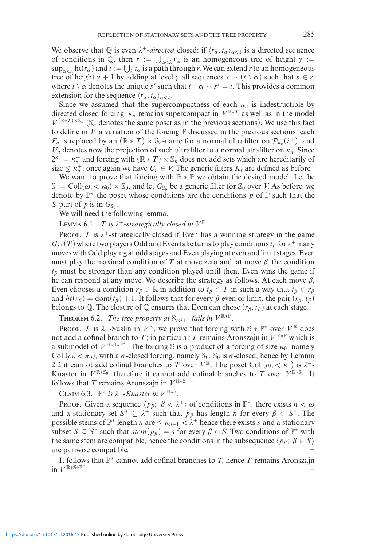We observe that  $\mathbb Q$  is even  $\lambda^+$ -*directed* closed: if  $\langle r_\alpha, t_\alpha \rangle_{\alpha < \lambda}$  is a directed sequence of conditions in  $\mathbb{Q}$ , then  $r := \bigcup_{\alpha < \lambda} r_\alpha$  is an homogeneous tree of height  $\gamma :=$  $\sup_{\alpha<\lambda}$  ht( $r_\alpha$ ) and  $t:=\bigcup_\lambda t_\alpha$  is a path through *r*. We can extend *r* to an homogeneous tree of height  $\gamma + 1$  by adding at level  $\gamma$  all sequences  $s \sim (t \setminus \alpha)$  such that  $s \in r$ , where  $t \setminus \alpha$  denotes the unique *s'* such that  $t \restriction \alpha \cap s' = t$ . This provides a common extension for the sequence  $\langle r_{\alpha}, t_{\alpha} \rangle_{\alpha < \lambda}$ .

Since we assumed that the supercompactness of each  $\kappa_n$  is indestructible by directed closed forcing,  $\kappa_n$  remains supercompact in  $V^{\mathbb{R}^*T}$  as well as in the model  $V^{(\mathbb{R} * T) \times \mathbb{S}_n}$  ( $\mathbb{S}_n$  denotes the same poset as in the previous sections). We use this fact to define in  $V$  a variation of the forcing  $\mathbb P$  discussed in the previous sections: each  $\dot{F}_n$  is replaced by an  $(\mathbb{R} * T) \times \mathbb{S}_n$ -name for a normal ultrafilter on  $\mathcal{P}_{\kappa_n}(\lambda^+)$ , and  $U_n$  denotes now the projection of such ultrafilter to a normal utrafilter on  $\kappa_n$ . Since  $2^{\kappa_n} = \kappa_n^+$  and forcing with  $(\mathbb{R} * T) \times \mathbb{S}_n$  does not add sets which are hereditarily of size  $\leq \kappa_n^+$ , once again we have  $U_n \in V$ . The generic filters  $K_i$  are defined as before.

We want to prove that forcing with  $\mathbb{R} * \mathbb{P}$  we obtain the desired model. Let be  $\mathbb{S} := \text{Coll}(\omega, \langle \kappa_0 \rangle \times \mathbb{S}_0)$ , and let  $G_{\mathbb{S}_0}$  be a generic filter for  $\mathbb{S}_0$  over *V*. As before, we denote by P<sup>∗</sup> the poset whose conditions are the conditions *p* of P such that the *S*-part of *p* is in  $G_{\mathbb{S}_0}$ .

We will need the following lemma.

LEMMA 6.1. *T is*  $\lambda^+$ -strategically closed in  $V^{\mathbb{R}}$ .

PROOF. *T* is  $\lambda^+$ -strategically closed if Even has a winning strategy in the game  $G_{\lambda+}(T)$  where two players Odd and Even take turns to play conditions  $t_\beta$  for  $\lambda^+$  many moves with Odd playing at odd stages and Even playing at even and limit stages. Even must play the maximal condition of  $T$  at move zero and, at move  $\beta$ , the condition  $t_{\beta}$  must be stronger than any condition played until then. Even wins the game if he can respond at any move. We describe the strategy as follows. At each move  $\beta$ , Even chooses a condition  $r_{\beta} \in \mathbb{R}$  in addition to  $t_{\beta} \in T$  in such a way that  $t_{\beta} \in r_{\beta}$ and  $ht(r_\beta) = \text{dom}(t_\beta) + 1$ . It follows that for every  $\beta$  even or limit, the pair  $(r_\beta, t_\beta)$ belongs to Q. The closure of Q ensures that Even can chose  $(r_\beta, t_\beta)$  at each stage.  $\exists$ 

**THEOREM 6.2.** *The tree property at*  $\aleph_{\omega^2+1}$  *fails in*  $V^{\mathbb{R}*\mathbb{P}}$ *.* 

PROOF. *T* is  $\lambda^+$ -Suslin in  $V^{\mathbb{R}}$ , we prove that forcing with  $\mathbb{S} * \mathbb{P}^*$  over  $V^{\mathbb{R}}$  does not add a cofinal branch to *T*; in particular *T* remains Aronszajn in  $V^{\mathbb{R}*\mathbb{P}}$  which is a submodel of  $V^{\mathbb{R} * \mathbb{S} * \mathbb{P}^*}$ . The forcing  $\mathbb{S}$  is a product of a forcing of size  $\kappa_0$ , namely Coll $(\omega, < \kappa_0)$ , with a  $\sigma$ -closed forcing, namely  $\mathcal{S}_0$ .  $\mathcal{S}_0$  is  $\sigma$ -closed, hence by Lemma 2.2 it cannot add cofinal branches to *T* over  $V^{\mathbb{R}}$ . The poset Coll $(\omega, < \kappa_0)$  is  $\lambda^+$ -Knaster in  $V^{\mathbb{R} \times \mathbb{S}_0}$ , therefore it cannot add cofinal branches to *T* over  $V^{\mathbb{R} \times \mathbb{S}_0}$ . It follows that *T* remains Aronszajn in  $V^{\mathbb{R} \times \mathbb{S}}$ .

CLAIM 6.3.  $\mathbb{P}^*$  *is*  $\lambda^+$ -*Knaster in*  $V^{\mathbb{R}*\mathbb{S}}$ .

PROOF. Given a sequence  $\langle p_{\beta}; \beta < \lambda^+ \rangle$  of conditions in  $\mathbb{P}^*$ , there exists  $n < \omega$ and a stationary set  $S^* \subseteq \lambda^+$  such that  $p_\beta$  has length *n* for every  $\beta \in S^*$ . The possible stems of  $\mathbb{P}^*$  length *n* are  $\leq \kappa_{n+1} < \lambda^+$  hence there exists *s* and a stationary subset  $S \subseteq S^*$  such that  $stem(p_\beta) = s$  for every  $\beta \in S$ . Two conditions of  $\mathbb{P}^*$  with the same stem are compatible, hence the conditions in the subsequence  $\langle p_\beta; \beta \in S \rangle$ are pariwise compatible.

It follows that P<sup>∗</sup> cannot add cofinal branches to *T,* hence *T* remains Aronszajn in  $V^{\mathbb{R} * \mathbb{S} * \mathbb{P}^*}$ . *.*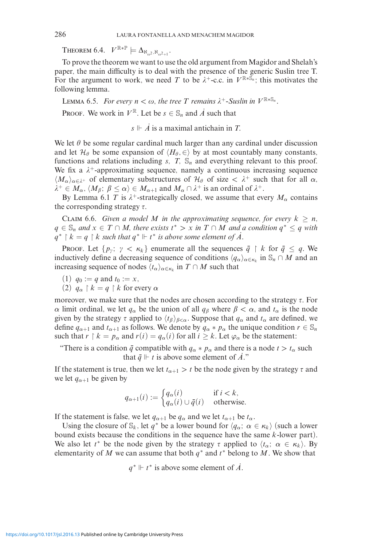Theorem 6.4.  $V^{\mathbb{R}*\mathbb{P}} \models \Delta_{\aleph_{\omega^2}, \aleph_{\omega^2+1}}.$ 

To prove the theorem we want to use the old argument from Magidor and Shelah's paper, the main difficulty is to deal with the presence of the generic Suslin tree T. For the argument to work, we need *T* to be  $\lambda^+$ -c.c. in  $V^{\mathbb{R} \times \tilde{\mathbb{S}}_n}$ ; this motivates the following lemma.

LEMMA 6.5. *For every*  $n < \omega$ , the tree *T* remains  $\lambda^+$ -Suslin in  $V^{\mathbb{R} \times \mathbb{S}_n}$ . PROOF. We work in  $V^{\mathbb{R}}$ . Let be  $s \in \mathbb{S}_n$  and  $\overline{A}$  such that

 $s \Vdash \dot{A}$  is a maximal antichain in *T*.

We let  $\theta$  be some regular cardinal much larger than any cardinal under discussion and let  $\mathcal{H}_{\theta}$  be some expansion of  $\langle H_{\theta}, \in \rangle$  by at most countably many constants, functions and relations including  $s$ ,  $T$ ,  $\mathbb{S}_n$  and everything relevant to this proof. We fix a  $\lambda^+$ -approximating sequence, namely a continuous increasing sequence  $\langle M_{\alpha}\rangle_{\alpha\in\lambda^+}$  of elementary substructures of  $\mathcal{H}_{\theta}$  of size  $\langle \lambda^+$  such that for all  $\alpha$ ,  $\lambda^+ \in M_\alpha$ ,  $\langle M_\beta; \beta \le \alpha \rangle \in M_{\alpha+1}$  and  $M_\alpha \cap \lambda^+$  is an ordinal of  $\lambda^+$ .

By Lemma 6.1 *T* is  $\lambda^+$ -strategically closed, we assume that every  $M_\alpha$  contains the corresponding strategy  $\tau$ .

CLAIM 6.6. *Given a model M in the approximating sequence, for every*  $k \geq n$ , *q* ∈  $\mathbb{S}_n$  *and*  $x \in T \cap M$ , *there exists*  $t^*$  >  $x$  *in*  $T \cap M$  *and a condition*  $q^* \leq q$  *with*  $q^* \restriction k = q \restriction k$  such that  $q^* \Vdash t^*$  is above some element of  $\dot{A}$ .

Proof. Let  $\{p_{\gamma}; \gamma < \kappa_k\}$  enumerate all the sequences  $\bar{q} \restriction k$  for  $\bar{q} \leq q$ . We inductively define a decreasing sequence of conditions  $\langle q_\alpha \rangle_{\alpha \in \kappa_k}$  in  $\mathbb{S}_n \cap M$  and an increasing sequence of nodes  $\langle t_\alpha \rangle_{\alpha \in \kappa_k}$  in  $T \cap M$  such that

- (1)  $q_0 := q$  and  $t_0 := x$ ,
- (2)  $q_\alpha \restriction k = q \restriction k$  for every  $\alpha$

moreover, we make sure that the nodes are chosen according to the strategy  $\tau$ . For *α* limit ordinal, we let  $q_\alpha$  be the union of all  $q_\beta$  where  $\beta < \alpha$ , and  $t_\alpha$  is the node given by the strategy  $\tau$  applied to  $\langle t_\beta \rangle_{\beta < \alpha}$ . Suppose that  $q_\alpha$  and  $t_\alpha$  are defined, we define  $q_{\alpha+1}$  and  $t_{\alpha+1}$  as follows. We denote by  $q_\alpha * p_\alpha$  the unique condition  $r \in \mathbb{S}_n$ such that  $r \upharpoonright k = p_\alpha$  and  $r(i) = q_\alpha(i)$  for all  $i \geq k$ . Let  $\varphi_\alpha$  be the statement:

"There is a condition  $\bar{q}$  compatible with  $q_{\alpha} * p_{\alpha}$  and there is a node  $t > t_{\alpha}$  such that  $\bar{q} \Vdash t$  is above some element of  $\vec{A}$ ."

If the statement is true, then we let  $t_{\alpha+1} > t$  be the node given by the strategy  $\tau$  and we let  $q_{\alpha+1}$  be given by

$$
q_{\alpha+1}(i) := \begin{cases} q_{\alpha}(i) & \text{if } i < k, \\ q_{\alpha}(i) \cup \bar{q}(i) & \text{otherwise.} \end{cases}
$$

If the statement is false, we let  $q_{\alpha+1}$  be  $q_{\alpha}$  and we let  $t_{\alpha+1}$  be  $t_{\alpha}$ .

Using the closure of  $\mathbb{S}_k$ , let  $q^*$  be a lower bound for  $\langle q_\alpha; \alpha \in \kappa_k \rangle$  (such a lower bound exists because the conditions in the sequence have the same *k*-lower part). We also let  $t^*$  be the node given by the strategy  $\tau$  applied to  $\langle t_\alpha; \alpha \in \kappa_k \rangle$ . By elementarity of *M* we can assume that both  $q^*$  and  $t^*$  belong to *M*. We show that

 $q^* \Vdash t^*$  is above some element of  $\dot{A}$ .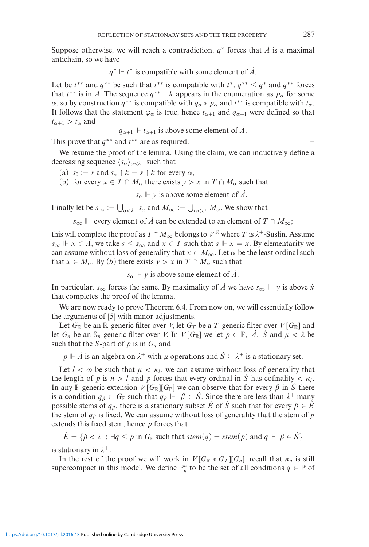Suppose otherwise, we will reach a contradiction.  $q^*$  forces that *A* is a maximal antichain, so we have

$$
q^* \Vdash t^*
$$
 is compatible with some element of  $\dot{A}$ .

Let be  $t^{**}$  and  $q^{**}$  be such that  $t^{**}$  is compatible with  $t^*$ ,  $q^{**} \leq q^*$  and  $q^{**}$  forces that  $t^{**}$  is in *A*. The sequence  $q^{**} \restriction k$  appears in the enumeration as  $p_\alpha$  for some *α*, so by construction  $q^{**}$  is compatible with  $q_\alpha * p_\alpha$  and  $t^{**}$  is compatible with  $t_\alpha$ . It follows that the statement  $\varphi_{\alpha}$  is true, hence  $t_{\alpha+1}$  and  $q_{\alpha+1}$  were defined so that  $t_{\alpha+1} > t_\alpha$  and

$$
q_{\alpha+1} \Vdash t_{\alpha+1}
$$
 is above some element of  $\dot{A}$ .

This prove that *q*∗∗ and *t*∗∗ are as required.

We resume the proof of the lemma. Using the claim, we can inductively define a decreasing sequence  $\langle s_{\alpha} \rangle_{\alpha < \lambda^{+}}$  such that

- (a)  $s_0 := s$  and  $s_\alpha \restriction k = s \restriction k$  for every  $\alpha$ ,
- (b) for every  $x \in T \cap M_\alpha$  there exists  $y > x$  in  $T \cap M_\alpha$  such that

 $s_{\alpha} \Vdash y$  is above some element of *A*.

Finally let be  $s_{\infty} := \bigcup_{\alpha < \lambda^+} s_{\alpha}$  and  $M_{\infty} := \bigcup_{\alpha < \lambda^+} M_{\alpha}$ . We show that

*s*<sub>∞</sub>  $\Vdash$  every element of *A*<sup>i</sup> can be extended to an element of *T* ∩ *M*<sub>∞</sub>;

this will complete the proof as  $T \cap M_\infty$  belongs to  $V^{\mathbb{R}}$  where *T* is  $\lambda^+$ -Suslin. Assume *s*<sub>∞</sub>  $\vdash$   $\dot{x}$  ∈  $\dot{A}$ , we take  $s \leq s$ <sub>∞</sub> and  $x \in T$  such that  $s \Vdash \dot{x} = x$ . By elementarity we can assume without loss of generality that  $x \in M_\infty$ . Let  $\alpha$  be the least ordinal such that  $x \in M_\alpha$ . By (*b*) there exists  $y > x$  in  $T \cap M_\alpha$  such that

*s<sub>α</sub>*  $\Vdash$  *y* is above some element of *A*.

In particular, *s*<sub>∞</sub> forces the same. By maximality of *A* we have *s*<sub>∞</sub>  $\Vdash$  *y* is above *x* that completes the proof of the lemma.  $\Box$ 

We are now ready to prove Theorem 6.4. From now on, we will essentially follow the arguments of [5] with minor adjustments.

Let  $G_{\mathbb{R}}$  be an  $\mathbb{R}$ -generic filter over *V*, let  $G_T$  be a *T*-generic filter over *V* [ $G_{\mathbb{R}}$ ] and let  $G_n$  be an  $\mathbb{S}_n$ -generic filter over *V*. In  $V[G_{\mathbb{R}}]$  we let  $p \in \mathbb{P}$ ,  $\dot{A}$ ,  $\dot{S}$  and  $\mu < \lambda$  be such that the *S*-part of  $p$  is in  $G_n$  and

 $p \Vdash \dot{A}$  is an algebra on  $\lambda^+$  with  $\mu$  operations and  $\dot{S} \subseteq \lambda^+$  is a stationary set.

Let  $l < \omega$  be such that  $\mu < \kappa_l$ , we can assume without loss of generality that the length of *p* is  $n > l$  and *p* forces that every ordinal in *S* has cofinality  $\langle \kappa_l \rangle$ . In any P-generic extension  $V[G_{\mathbb{R}}][G_{\mathbb{P}}]$  we can observe that for every  $\beta$  in  $\dot{S}$  there is a condition  $q_{\beta} \in G_{\mathbb{P}}$  such that  $q_{\beta} \Vdash \beta \in \dot{S}$ . Since there are less than  $\lambda^+$  many possible stems of  $q_{\beta}$ , there is a stationary subset *E* of *S* such that for every  $\beta \in E$ the stem of  $q_\beta$  is fixed. We can assume without loss of generality that the stem of  $p$ extends this fixed stem, hence *p* forces that

 $\dot{E} = \{ \beta < \lambda^+ \colon \exists q \leq p \text{ in } G_{\mathbb{P}} \text{ such that } stem(q) = stem(p) \text{ and } q \Vdash \beta \in \dot{S} \}$ 

is stationary in  $\lambda^+$ .

In the rest of the proof we will work in  $V[G_{\mathbb{R}} * G_T][G_n]$ , recall that  $\kappa_n$  is still supercompact in this model. We define  $\mathbb{P}_n^*$  to be the set of all conditions  $q \in \mathbb{P}$  of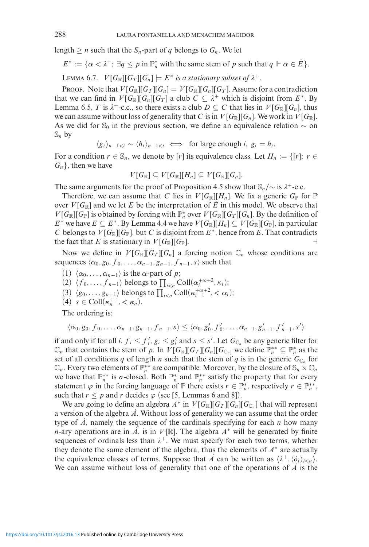length  $\geq n$  such that the  $S_n$ -part of *q* belongs to  $G_n$ . We let

 $E^* := {\alpha < \lambda^+; \exists q \le p \text{ in } \mathbb{P}_n^* \text{ with the same stem of } p \text{ such that } q \vDash \alpha \in \dot{E}}.$ 

LEMMA 6.7.  $V[G_{\mathbb{R}}][G_T][G_n] \models E^*$  *is a stationary subset of*  $\lambda^+$ *.* 

PROOF. Note that  $V[G_{\mathbb{R}}][G_T][G_n] = V[G_{\mathbb{R}}][G_n][G_T]$ . Assume for a contradiction that we can find in  $V[G_{\mathbb{R}}][G_{n}][G_{T}]$  a club  $C \subseteq \lambda^{+}$  which is disjoint from  $E^{*}$ . By Lemma 6.5, *T* is  $\lambda^+$ -c.c., so there exists a club  $D \subseteq C$  that lies in  $V[G_{\mathbb{R}}][G_n]$ , thus we can assume without loss of generality that *C* is in  $V[G_{\mathbb{R}}][G_n]$ . We work in  $V[G_{\mathbb{R}}]$ . As we did for S<sub>0</sub> in the previous section, we define an equivalence relation  $\sim$  on  $\mathbb{S}_n$  by

 $\langle g_i \rangle_{n-1 < i} \sim \langle h_i \rangle_{n-1 < i} \iff$  for large enough *i*,  $g_i = h_i$ .

For a condition  $r \in \mathbb{S}_n$ , we denote by [*r*] its equivalence class. Let  $H_n := \{ [r]; r \in \mathbb{S}_n\}$ *Gn*}*,* then we have

$$
V[G_{\mathbb{R}}] \subseteq V[G_{\mathbb{R}}][H_n] \subseteq V[G_{\mathbb{R}}][G_n].
$$

The same arguments for the proof of Proposition 4.5 show that  $\mathcal{S}_n/\sim$  is  $\lambda^+$ -c.c.

Therefore, we can assume that *C* lies in  $V[G_{\mathbb{R}}][H_n]$ . We fix a generic  $G_{\mathbb{P}}$  for  $\mathbb{P}$ over  $V[G_{\mathbb{R}}]$  and we let E be the interpretation of E in this model. We observe that *V*[ $G_{\mathbb{R}}$ ][ $G_{\mathbb{P}}$ ] is obtained by forcing with  $\mathbb{P}_n^*$  over *V*[ $G_{\mathbb{R}}$ ][ $G_T$ ][ $G_n$ ]. By the definition of *E*<sup>∗</sup> we have *E* ⊆ *E*<sup>∗</sup>. By Lemma 4.4 we have  $V[G_{\mathbb{R}}][H_n] ⊆ V[G_{\mathbb{R}}][G_{\mathbb{P}}]$ *,* in particular *C* belongs to  $V[G_{\mathbb{R}}][G_{\mathbb{P}}]$ , but *C* is disjoint from  $E^*$ , hence from *E*. That contradicts the fact that *E* is stationary in  $V[G_{\mathbb{R}}][G_{\mathbb{P}}]$ .

Now we define in  $V[G_{\mathbb{R}}][G_T][G_n]$  a forcing notion  $\mathbb{C}_n$  whose conditions are sequences  $\langle \alpha_0, g_0, f_0, \ldots, \alpha_{n-1}, g_{n-1}, f_{n-1}, s \rangle$  such that

- (1)  $\langle \alpha_0, \ldots, \alpha_{n-1} \rangle$  is the  $\alpha$ -part of *p*;
- (2)  $\langle f_0, \ldots, f_{n-1} \rangle$  belongs to  $\prod_{i \leq n} \text{Coll}(\alpha_i^{+\omega+2}, \kappa_i);$
- (3)  $\langle g_0, ..., g_{n-1} \rangle$  belongs to  $\prod_{i < n}$  Coll( $\kappa_{i-1}^{+o+2}$ , < α<sub>*i*</sub>);
- (4)  $s \in \text{Coll}(\kappa_n^{++}, < \kappa_n)$ .

The ordering is:

$$
\langle \alpha_0, g_0, f_0, \ldots, \alpha_{n-1}, g_{n-1}, f_{n-1}, s \rangle \leq \langle \alpha_0, g'_0, f'_0, \ldots, \alpha_{n-1}, g'_{n-1}, f'_{n-1}, s' \rangle
$$

if and only if for all *i*,  $f_i \leq f'_i$ ,  $g_i \leq g'_i$  and  $s \leq s'$ . Let  $G_{\mathbb{C}_n}$  be any generic filter for  $\mathbb{C}_n$  that contains the stem of *p*. In *V*[*G*<sub>R</sub>][*G<sub>T</sub>*][*G<sub>n</sub>*][*G*<sub>C<sub>n</sub>] we define  $\mathbb{P}_n^{**} \subseteq \mathbb{P}_n^*$  as the</sub> set of all conditions *q* of length *n* such that the stem of *q* is in the generic  $G_{\mathbb{C}_n}$  for  $\mathbb{C}_n$ . Every two elements of  $\mathbb{P}_n^{**}$  are compatible. Moreover, by the closure of  $\mathbb{S}_n \times \mathbb{C}_n$ we have that  $\mathbb{P}_n^{**}$  is  $\sigma$ -closed. Both  $\mathbb{P}_n^*$  and  $\mathbb{P}_n^{**}$  satisfy the property that for every statement  $\varphi$  in the forcing language of  $\mathbb P$  there exists  $r \in \mathbb{P}_n^*$ , respectively  $r \in \mathbb{P}_n^{**}$ , such that  $r \leq p$  and  $r$  decides  $\varphi$  (see [5, Lemmas 6 and 8]).

We are going to define an algebra  $A^*$  in  $V[G_{\mathbb{R}}][G_T][G_n][G_{\mathbb{C}_n}]$  that will represent a version of the algebra  $\vec{A}$ . Without loss of generality we can assume that the order type of  $\vec{A}$ , namely the sequence of the cardinals specifying for each  $n$  how many *n*-ary operations are in *A*, is in *V* [R]. The algebra  $A^*$  will be generated by finite sequences of ordinals less than  $\lambda^+$ . We must specify for each two terms, whether they denote the same element of the algebra, thus the elements of *A*<sup>∗</sup> are actually the equivalence classes of terms. Suppose that  $\vec{A}$  can be written as  $\langle \lambda^+, \langle \dot{o}_i \rangle_{i \leq \mu} \rangle$ . We can assume without loss of generality that one of the operations of *A* is the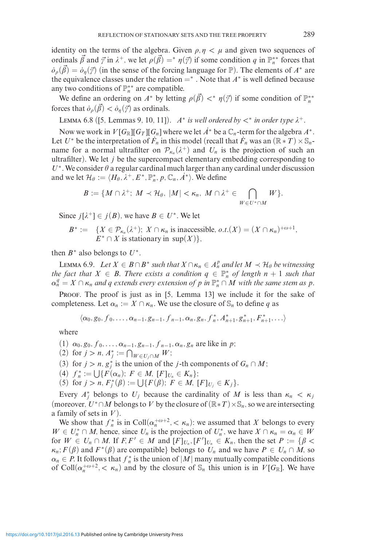identity on the terms of the algebra. Given  $\rho, \eta < \mu$  and given two sequences of ordinals  $\vec{\beta}$  and  $\vec{\gamma}$  in  $\lambda^+$ , we let  $\rho(\vec{\beta}) = * \eta(\vec{\gamma})$  if some condition *q* in  $\mathbb{P}_n^{**}$  forces that  $\dot{\rho}_0(\vec{\beta}) = \dot{\rho}_n(\vec{\gamma})$  (in the sense of the forcing language for P). The elements of *A*<sup>∗</sup> are the equivalence classes under the relation  $=$ <sup>\*</sup>. Note that  $A$ <sup>\*</sup> is well defined because any two conditions of P∗∗ *<sup>n</sup>* are compatible.

We define an ordering on  $A^*$  by letting  $\rho(\vec{\beta}) <^* \eta(\vec{\gamma})$  if some condition of  $\mathbb{P}_n^{**}$ forces that  $\dot{\sigma}_o(\vec{\beta}) < \dot{\sigma}_n(\vec{\gamma})$  as ordinals.

LEMMA 6.8 ([5, Lemmas 9, 10, 11]). *A*<sup>\*</sup> *is well ordered by*  $\lt^*$  *in order type*  $\lambda^+$ *.* 

Now we work in  $V[G_{\mathbb{R}}][G_T][G_n]$  where we let  $A^*$  be a  $\mathbb{C}_n$ -term for the algebra  $A^*$ . Let *U*<sup>∗</sup> be the interpretation of  $\dot{F}_n$  in this model (recall that  $\dot{F}_n$  was an  $(\mathbb{R} \times T) \times \mathbb{S}_n$ name for a normal ultrafilter on  $\mathcal{P}_{\kappa_n}(\lambda^+)$  and  $U_n$  is the projection of such an ultrafilter). We let *j* be the supercompact elementary embedding corresponding to  $U^*$ . We consider  $\theta$  a regular cardinal much larger than any cardinal under discussion and we let  $\mathcal{H}_{\theta} := \langle H_{\theta}, \lambda^+, E^*, \mathbb{P}_n^*, p, \mathbb{C}_n, \dot{A}^* \rangle$ . We define

$$
B:=\{M\cap\lambda^+;\ M\prec\mathcal{H}_{\theta},\ |M|<\kappa_n,\ M\cap\lambda^+\in\bigcap_{W\in U^*\cap M}W\}.
$$

Since  $j[\lambda^+] \in j(B)$ , we have  $B \in U^*$ . We let

 $B^* := \{ X \in \mathcal{P}_{\kappa_n}(\lambda^+); X \cap \kappa_n \text{ is inaccessible, } o.t. (X) = (X \cap \kappa_n)^{+o+1}, \}$  $E^* \cap X$  is stationary in sup $(X)$ ,

then  $B^*$  also belongs to  $U^*$ .

 $\text{LEMMA } 6.9.$  *Let*  $X \in B \cap B^*$  *such that*  $X \cap \kappa_n \in A_n^p$  *and let*  $M \prec \mathcal{H}_{\theta}$  *be witnessing the fact that*  $X \in B$ . *There exists a condition*  $q \in \mathbb{P}_n^*$  *of length*  $n + 1$  *such that*  $\alpha_n^q = X \cap \kappa_n$  *and q extends every extension of p in*  $\mathbb{P}_n^* \cap M$  *with the same stem as p*.

PROOF. The proof is just as in [5, Lemma 13] we include it for the sake of completeness. Let  $\alpha_n := X \cap \kappa_n$ . We use the closure of  $\mathbb{S}_n$  to define *q* as

 $\langle \alpha_0, g_0, f_0, \ldots, \alpha_{n-1}, g_{n-1}, f_{n-1}, \alpha_n, g_n, f_n^*, A_{n+1}^*, g_{n+1}^*, F_{n+1}^*, \ldots \rangle$ 

where

- (1)  $\alpha_0, g_0, f_0, \ldots, \alpha_{n-1}, g_{n-1}, f_{n-1}, \alpha_n, g_n$  are like in *p*;
- $(2)$  for  $j > n$ ,  $A_j^* := \bigcap_{W \in U_j \cap M} W;$
- (3) for *j* > *n*,  $g_j^*$  is the union of the *j*-th components of  $G_n \cap M$ ;
- $(4)$   $f_n^* := \bigcup \{ F(\alpha_n); F \in M, [F]_{U_n} \in K_n \};$
- $(5)$  for  $j > n$ ,  $F_j^*(\beta) := \bigcup \{ F(\beta); F \in M, [F]_{U_j} \in K_j \}.$

Every  $A_j^*$  belongs to  $U_j$  because the cardinality of M is less than  $\kappa_n < \kappa_j$ (moreover,  $U^* \cap M$  belongs to V by the closure of  $(\mathbb{R} * T) \times \mathbb{S}_n$ , so we are intersecting a family of sets in *V* ).

We show that  $f_n^*$  is in Coll $(\alpha_n^{+\omega+2}, \langle \kappa_n \rangle)$ : we assumed that *X* belongs to every  $W \in U_n^* \cap M$ , hence, since  $U_n$  is the projection of  $U_n^*$ , we have  $X \cap \kappa_n = \alpha_n \in W$ for  $W \in U_n \cap M$ . If  $F, F' \in M$  and  $[F]_{U_n}, [F']_{U_n} \in K_n$ , then the set  $P := \{ \beta <$  $\kappa_n$ ;  $F(\beta)$  and  $F^*(\beta)$  are compatible} belongs to  $U_n$  and we have  $P \in U_n \cap M$ , so  $\alpha_n \in P$ . It follows that  $f_n^*$  is the union of  $|M|$  many mutually compatible conditions of Coll $(\alpha_n^{+\omega+2}, < \kappa_n)$  and by the closure of  $\mathbb{S}_n$  this union is in  $V[G_{\mathbb{R}}]$ . We have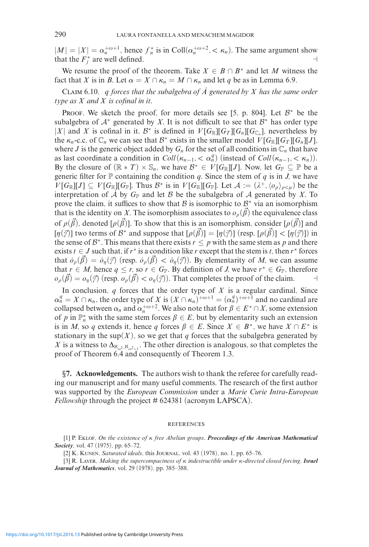$|M| = |X| = \alpha_n^{+\omega+1}$ , hence  $f_n^*$  is in Coll $(\alpha_n^{+\omega+2}, < \kappa_n)$ . The same argument show that the  $F_j^*$  are well defined.

We resume the proof of the theorem. Take  $X \in B \cap B^*$  and let M witness the fact that *X* is in *B*. Let  $\alpha = X \cap \kappa_n = M \cap \kappa_n$  and let *q* be as in Lemma 6.9.

Claim 6.10. *q forces that the subalgebra of A*˙ *generated by X has the same order type as X and X is cofinal in it.*

PROOF. We sketch the proof, for more details see [5, p. 804]. Let  $\mathcal{B}^*$  be the subalgebra of  $A^*$  generated by *X*. It is not difficult to see that  $B^*$  has order type  $|X|$  and *X* is cofinal in it. B<sup>∗</sup> is defined in  $V[G_{\mathbb{R}}][G_T][G_n][G_{\mathbb{C}_n}]$ , nevertheless by the  $\kappa_n$ -c.c. of  $\mathbb{C}_n$  we can see that  $\mathcal{B}^*$  exists in the smaller model  $V[G_{\mathbb{R}}][G_T][G_n][J]$ , where *J* is the generic object added by  $G_n$  for the set of all conditions in  $\mathbb{C}_n$  that have as last coordinate a condition in  $Coll(\kappa_{n-1}, < \alpha_n^q)$  (instead of  $Coll(\kappa_{n-1}, < \kappa_n))$ ). By the closure of  $(\mathbb{R} * T) \times \mathbb{S}_n$ , we have  $\mathcal{B}^* \in V[G_{\mathbb{R}}][J]$ . Now, let  $G_{\mathbb{P}} \subseteq \mathbb{P}$  be a generic filter for  $\mathbb P$  containing the condition *q*. Since the stem of *q* is in *J*, we have  $V[G_{\mathbb{R}}][J] \subseteq V[G_{\mathbb{R}}][G_{\mathbb{P}}]$ *.* Thus  $\mathcal{B}^*$  is in  $V[G_{\mathbb{R}}][G_{\mathbb{P}}]$ *.* Let  $\mathcal{A} := (\lambda^+, \langle o_{\rho} \rangle_{\rho < \mu})$  be the interpretation of  $\overline{A}$  by  $G_{\mathbb{P}}$  and let  $\overline{B}$  be the subalgebra of  $\overline{A}$  generated by *X*. To prove the claim, it suffices to show that B is isomorphic to  $B^*$  via an isomorphism that is the identity on X. The isomorphism associates to  $o<sub>o</sub>(\vec{\beta})$  the equivalence class of  $\rho(\vec{\beta})$ , denoted  $[\rho(\vec{\beta})]$ . To show that this is an isomorphism, consider  $[\rho(\vec{\beta})]$  and  $[\eta(\vec{y})]$  two terms of  $\mathcal{B}^*$  and suppose that  $[\rho(\vec{\beta})] = [\eta(\vec{y})]$  (resp.  $[\rho(\vec{\beta})] < [\eta(\vec{y})]$ ) in the sense of  $B^*$ . This means that there exists  $r \leq p$  with the same stem as p and there exists  $t \in J$  such that, if  $r^*$  is a condition like  $r$  except that the stem is  $t$ , then  $r^*$  forces that  $\dot{\sigma}_{\rho}(\vec{\beta}) = \dot{\sigma}_{\eta}(\vec{\gamma})$  (resp.  $\dot{\sigma}_{\rho}(\vec{\beta}) < \dot{\sigma}_{\eta}(\vec{\gamma})$ ). By elementarity of *M*, we can assume that  $r \in M$ , hence  $q \leq r$ , so  $r \in G_{\mathbb{P}}$ . By definition of *J*, we have  $r^* \in G_{\mathbb{P}}$ , therefore  $o_{\rho}(\vec{\beta}) = o_{\eta}(\vec{\gamma})$  (resp.  $o_{\rho}(\vec{\beta}) < o_{\eta}(\vec{\gamma})$ ). That completes the proof of the claim.

In conclusion,  $q$  forces that the order type of  $X$  is a regular cardinal. Since  $\alpha_n^q = X \cap \kappa_n$ , the order type of *X* is  $(X \cap \kappa_n)^{+\omega+1} = (\alpha_n^q)^{+\omega+1}$  and no cardinal are collapsed between  $\alpha_n$  and  $\alpha_n^{+\omega+2}$ . We also note that for  $\beta \in E^* \cap X$ , some extension of *p* in  $\mathbb{P}_n^*$  with the same stem forces  $\beta \in E$ , but by elementarity such an extension is in *M*, so *q* extends it, hence *q* forces  $\beta \in E$ . Since  $X \in B^*$ , we have  $X \cap E^*$  is stationary in the sup $(X)$ , so we get that *q* forces that the subalgebra generated by X is a witness to  $\Delta_{\aleph_{\omega^2},\aleph_{\omega^2+1}}$ . The other direction is analogous, so that completes the proof of Theorem 6.4 and consequently of Theorem 1.3.

*§***7. Acknowledgements.** The authors wish to thank the referee for carefully reading our manuscript and for many useful comments. The research of the first author was supported by the *European Commission* under a *Marie Curie Intra-European Fellowship* through the project # 624381 (acronym LAPSCA).

## REFERENCES

[1] P. Eklof, *On the existence of κ free Abelian groups*. *Proceedings of the American Mathematical Society*, vol. 47 (1975), pp. 65–72.

[2] K. Kunen, *Saturated ideals*, this Journal, vol. 43 (1978), no. 1, pp. 65–76.

[3] R. Laver, *Making the supercompactness of κ indestructible under κ-directed closed forcing*. *Israel Journal of Mathematics*, vol. 29 (1978), pp. 385–388.